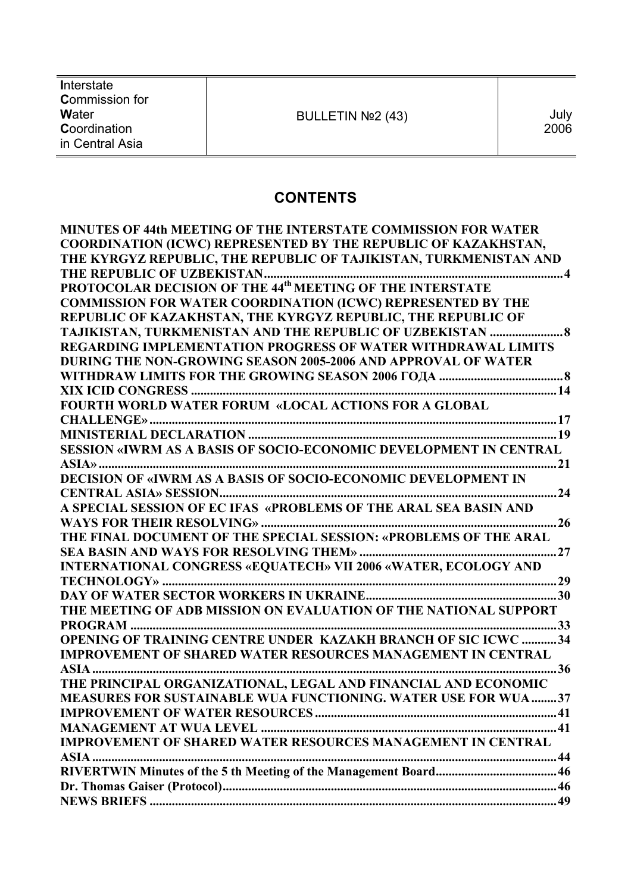| Interstate<br><b>Commission for</b>      |                   |              |
|------------------------------------------|-------------------|--------------|
| Water<br>Coordination<br>in Central Asia | BULLETIN Nº2 (43) | July<br>2006 |

# **CONTENTS**

| <b>MINUTES OF 44th MEETING OF THE INTERSTATE COMMISSION FOR WATER</b> |
|-----------------------------------------------------------------------|
| COORDINATION (ICWC) REPRESENTED BY THE REPUBLIC OF KAZAKHSTAN,        |
| THE KYRGYZ REPUBLIC, THE REPUBLIC OF TAJIKISTAN, TURKMENISTAN AND     |
|                                                                       |
|                                                                       |
| <b>COMMISSION FOR WATER COORDINATION (ICWC) REPRESENTED BY THE</b>    |
| REPUBLIC OF KAZAKHSTAN, THE KYRGYZ REPUBLIC, THE REPUBLIC OF          |
| TAJIKISTAN, TURKMENISTAN AND THE REPUBLIC OF UZBEKISTAN  8            |
| <b>REGARDING IMPLEMENTATION PROGRESS OF WATER WITHDRAWAL LIMITS</b>   |
| DURING THE NON-GROWING SEASON 2005-2006 AND APPROVAL OF WATER         |
|                                                                       |
|                                                                       |
| FOURTH WORLD WATER FORUM «LOCAL ACTIONS FOR A GLOBAL                  |
|                                                                       |
|                                                                       |
| SESSION «IWRM AS A BASIS OF SOCIO-ECONOMIC DEVELOPMENT IN CENTRAL     |
|                                                                       |
|                                                                       |
|                                                                       |
| A SPECIAL SESSION OF EC IFAS «PROBLEMS OF THE ARAL SEA BASIN AND      |
|                                                                       |
| THE FINAL DOCUMENT OF THE SPECIAL SESSION: «PROBLEMS OF THE ARAL      |
|                                                                       |
| INTERNATIONAL CONGRESS «EQUATECH» VII 2006 «WATER, ECOLOGY AND        |
|                                                                       |
|                                                                       |
| THE MEETING OF ADB MISSION ON EVALUATION OF THE NATIONAL SUPPORT      |
|                                                                       |
| <b>OPENING OF TRAINING CENTRE UNDER KAZAKH BRANCH OF SIC ICWC 34</b>  |
| <b>IMPROVEMENT OF SHARED WATER RESOURCES MANAGEMENT IN CENTRAL</b>    |
|                                                                       |
| THE PRINCIPAL ORGANIZATIONAL, LEGAL AND FINANCIAL AND ECONOMIC        |
| <b>MEASURES FOR SUSTAINABLE WUA FUNCTIONING. WATER USE FOR WUA 37</b> |
|                                                                       |
|                                                                       |
| <b>IMPROVEMENT OF SHARED WATER RESOURCES MANAGEMENT IN CENTRAL</b>    |
|                                                                       |
|                                                                       |
|                                                                       |
|                                                                       |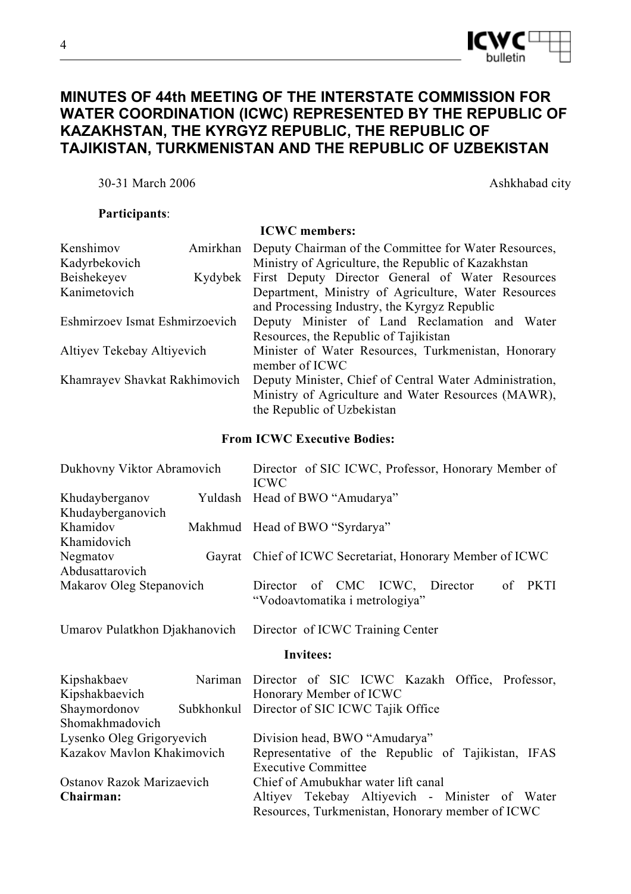

# **MINUTES OF 44th MEETING OF THE INTERSTATE COMMISSION FOR WATER COORDINATION (ICWC) REPRESENTED BY THE REPUBLIC OF KAZAKHSTAN, THE KYRGYZ REPUBLIC, THE REPUBLIC OF TAJIKISTAN, TURKMENISTAN AND THE REPUBLIC OF UZBEKISTAN**

30-31 March 2006 Ashkhabad city

## **Participants**:

|                                |                                                     | <b>ICWC</b> members:                                    |  |  |  |
|--------------------------------|-----------------------------------------------------|---------------------------------------------------------|--|--|--|
| Kenshimov                      | Amirkhan                                            | Deputy Chairman of the Committee for Water Resources,   |  |  |  |
| Kadyrbekovich                  |                                                     | Ministry of Agriculture, the Republic of Kazakhstan     |  |  |  |
| Beishekeyev                    | Kydybek                                             | First Deputy Director General of Water Resources        |  |  |  |
| Kanimetovich                   |                                                     | Department, Ministry of Agriculture, Water Resources    |  |  |  |
|                                |                                                     | and Processing Industry, the Kyrgyz Republic            |  |  |  |
| Eshmirzoev Ismat Eshmirzoevich |                                                     | Deputy Minister of Land Reclamation and Water           |  |  |  |
|                                | Resources, the Republic of Tajikistan               |                                                         |  |  |  |
| Altiyev Tekebay Altiyevich     |                                                     | Minister of Water Resources, Turkmenistan, Honorary     |  |  |  |
|                                |                                                     | member of ICWC                                          |  |  |  |
| Khamrayev Shavkat Rakhimovich  |                                                     | Deputy Minister, Chief of Central Water Administration, |  |  |  |
|                                | Ministry of Agriculture and Water Resources (MAWR), |                                                         |  |  |  |
|                                |                                                     | the Republic of Uzbekistan                              |  |  |  |

## **From ICWC Executive Bodies:**

| Dukhovny Viktor Abramovich |  | Director of SIC ICWC, Professor, Honorary Member of<br><b>ICWC</b>                     |
|----------------------------|--|----------------------------------------------------------------------------------------|
| Khudayberganov             |  | Yuldash Head of BWO "Amudarya"                                                         |
| Khudayberganovich          |  |                                                                                        |
| Khamidov                   |  | Makhmud Head of BWO "Syrdarya"                                                         |
| Khamidovich                |  |                                                                                        |
| Negmatov                   |  | Gayrat Chief of ICWC Secretariat, Honorary Member of ICWC                              |
| Abdusattarovich            |  |                                                                                        |
| Makarov Oleg Stepanovich   |  | Director of CMC ICWC, Director<br><b>PKTI</b><br>0f.<br>"Vodoavtomatika i metrologiya" |

Umarov Pulatkhon Djakhanovich Director of ICWC Training Center

### **Invitees:**

| Kipshakbaev                |                                              | Nariman Director of SIC ICWC Kazakh Office, Professor, |  |  |  |  |  |  |
|----------------------------|----------------------------------------------|--------------------------------------------------------|--|--|--|--|--|--|
| Kipshakbaevich             |                                              | Honorary Member of ICWC                                |  |  |  |  |  |  |
| Shaymordonov               | Subkhonkul Director of SIC ICWC Tajik Office |                                                        |  |  |  |  |  |  |
| Shomakhmadovich            |                                              |                                                        |  |  |  |  |  |  |
| Lysenko Oleg Grigoryevich  |                                              | Division head, BWO "Amudarya"                          |  |  |  |  |  |  |
| Kazakov Mavlon Khakimovich |                                              | Representative of the Republic of Tajikistan, IFAS     |  |  |  |  |  |  |
|                            |                                              | <b>Executive Committee</b>                             |  |  |  |  |  |  |
| Ostanov Razok Marizaevich  |                                              | Chief of Amubukhar water lift canal                    |  |  |  |  |  |  |
| Chairman:                  |                                              | Altiyev Tekebay Altiyevich - Minister of Water         |  |  |  |  |  |  |
|                            |                                              | Resources, Turkmenistan, Honorary member of ICWC       |  |  |  |  |  |  |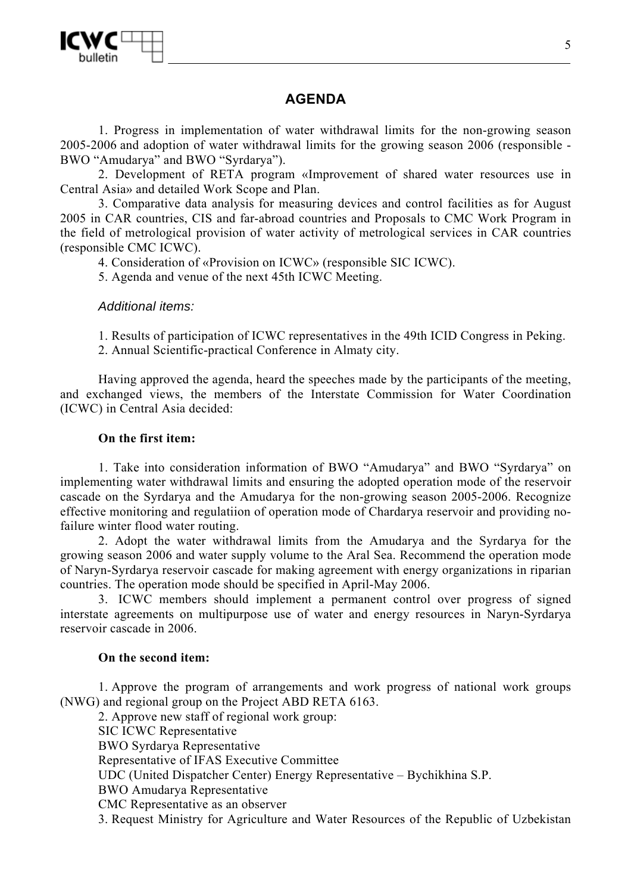

## **AGENDA**

1. Progress in implementation of water withdrawal limits for the non-growing season 2005-2006 and adoption of water withdrawal limits for the growing season 2006 (responsible - BWO "Amudarya" and BWO "Syrdarya").

2. Development of RETA program «Improvement of shared water resources use in Central Asia» and detailed Work Scope and Plan.

3. Comparative data analysis for measuring devices and control facilities as for August 2005 in CAR countries, CIS and far-abroad countries and Proposals to CMC Work Program in the field of metrological provision of water activity of metrological services in CAR countries (responsible CMC ICWC).

4. Consideration of «Provision on ICWC» (responsible SIC ICWC).

5. Agenda and venue of the next 45th ICWC Meeting.

### *Additional items:*

1. Results of participation of ICWC representatives in the 49th ICID Congress in Peking.

2. Annual Scientific-practical Conference in Almaty city.

Having approved the agenda, heard the speeches made by the participants of the meeting, and exchanged views, the members of the Interstate Commission for Water Coordination (ICWC) in Central Asia decided:

### **On the first item:**

1. Take into consideration information of BWO "Amudarya" and BWO "Syrdarya" on implementing water withdrawal limits and ensuring the adopted operation mode of the reservoir cascade on the Syrdarya and the Amudarya for the non-growing season 2005-2006. Recognize effective monitoring and regulatiion of operation mode of Chardarya reservoir and providing nofailure winter flood water routing.

2. Adopt the water withdrawal limits from the Amudarya and the Syrdarya for the growing season 2006 and water supply volume to the Aral Sea. Recommend the operation mode of Naryn-Syrdarya reservoir cascade for making agreement with energy organizations in riparian countries. The operation mode should be specified in April-May 2006.

3. ICWC members should implement a permanent control over progress of signed interstate agreements on multipurpose use of water and energy resources in Naryn-Syrdarya reservoir cascade in 2006.

#### **On the second item:**

1. Approve the program of arrangements and work progress of national work groups (NWG) and regional group on the Project ABD RETA 6163.

2. Approve new staff of regional work group:

SIC ICWC Representative BWO Syrdarya Representative Representative of IFAS Executive Committee UDC (United Dispatcher Center) Energy Representative – Bychikhina S.P. BWO Amudarya Representative CMC Representative as an observer 3. Request Ministry for Agriculture and Water Resources of the Republic of Uzbekistan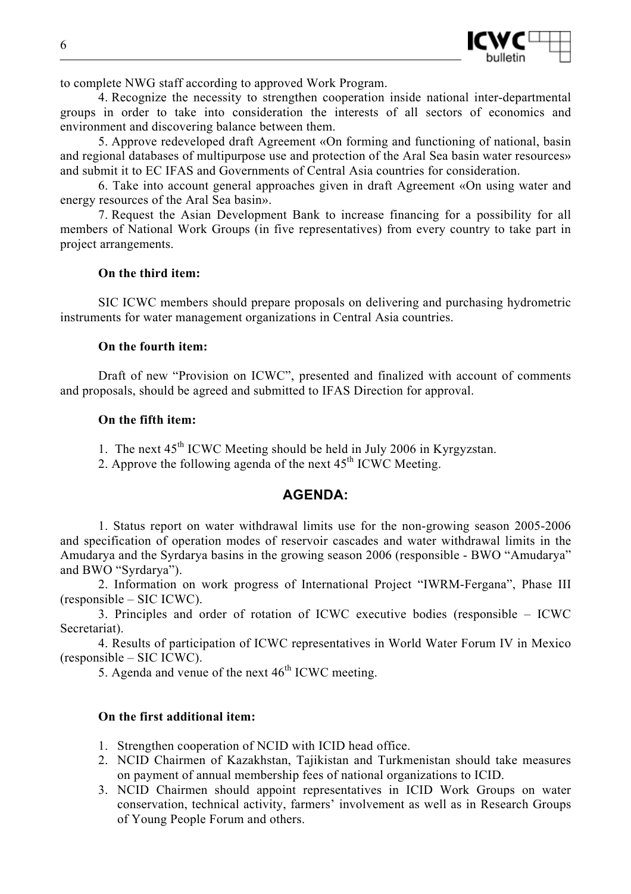

to complete NWG staff according to approved Work Program.

4. Recognize the necessity to strengthen cooperation inside national inter-departmental groups in order to take into consideration the interests of all sectors of economics and environment and discovering balance between them.

5. Approve redeveloped draft Agreement «On forming and functioning of national, basin and regional databases of multipurpose use and protection of the Aral Sea basin water resources» and submit it to EC IFAS and Governments of Central Asia countries for consideration.

6. Take into account general approaches given in draft Agreement «On using water and energy resources of the Aral Sea basin».

7. Request the Asian Development Bank to increase financing for a possibility for all members of National Work Groups (in five representatives) from every country to take part in project arrangements.

### **On the third item:**

SIC ICWC members should prepare proposals on delivering and purchasing hydrometric instruments for water management organizations in Central Asia countries.

## **On the fourth item:**

Draft of new "Provision on ICWC", presented and finalized with account of comments and proposals, should be agreed and submitted to IFAS Direction for approval.

### **On the fifth item:**

- 1. The next 45<sup>th</sup> ICWC Meeting should be held in July 2006 in Kyrgyzstan.
- 2. Approve the following agenda of the next  $45<sup>th</sup>$  ICWC Meeting.

## **AGENDA:**

1. Status report on water withdrawal limits use for the non-growing season 2005-2006 and specification of operation modes of reservoir cascades and water withdrawal limits in the Amudarya and the Syrdarya basins in the growing season 2006 (responsible - BWO "Amudarya" and BWO "Syrdarya").

2. Information on work progress of International Project "IWRM-Fergana", Phase III (responsible – SIC ICWC).

3. Principles and order of rotation of ICWC executive bodies (responsible – ICWC Secretariat).

4. Results of participation of ICWC representatives in World Water Forum IV in Mexico (responsible – SIC ICWC).

5. Agenda and venue of the next  $46<sup>th</sup>$  ICWC meeting.

### **On the first additional item:**

- 1. Strengthen cooperation of NCID with ICID head office.
- 2. NCID Chairmen of Kazakhstan, Tajikistan and Turkmenistan should take measures on payment of annual membership fees of national organizations to ICID.
- 3. NCID Chairmen should appoint representatives in ICID Work Groups on water conservation, technical activity, farmers' involvement as well as in Research Groups of Young People Forum and others.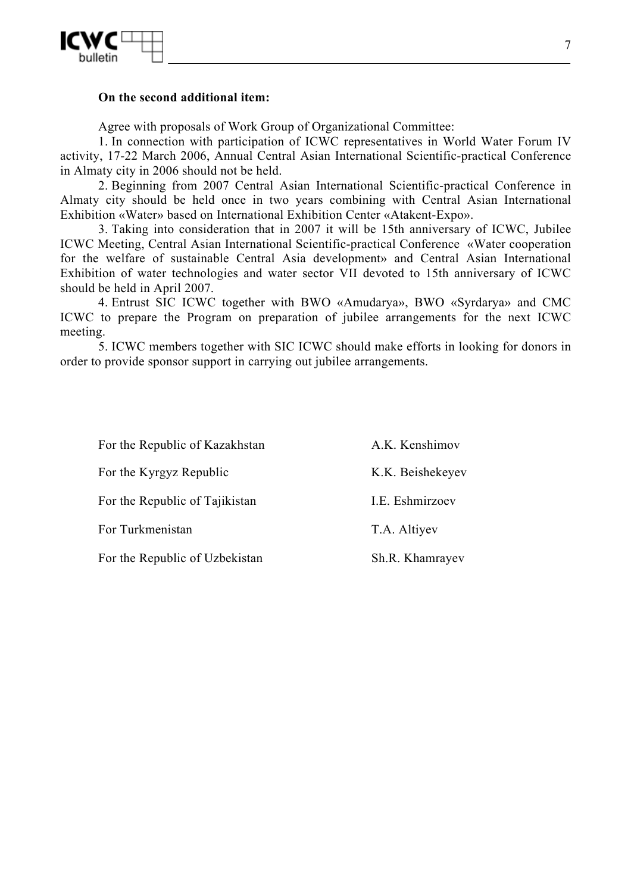

### **On the second additional item:**

Agree with proposals of Work Group of Organizational Committee:

1. In connection with participation of ICWC representatives in World Water Forum IV activity, 17-22 March 2006, Annual Central Asian International Scientific-practical Conference in Almaty city in 2006 should not be held.

2. Beginning from 2007 Central Asian International Scientific-practical Conference in Almaty city should be held once in two years combining with Central Asian International Exhibition «Water» based on International Exhibition Center «Atakent-Expo».

3. Taking into consideration that in 2007 it will be 15th anniversary of ICWC, Jubilee ICWC Meeting, Central Asian International Scientific-practical Conference «Water cooperation for the welfare of sustainable Central Asia development» and Central Asian International Exhibition of water technologies and water sector VII devoted to 15th anniversary of ICWC should be held in April 2007.

4. Entrust SIC ICWC together with BWO «Amudarya», BWO «Syrdarya» and CMC ICWC to prepare the Program on preparation of jubilee arrangements for the next ICWC meeting.

5. ICWC members together with SIC ICWC should make efforts in looking for donors in order to provide sponsor support in carrying out jubilee arrangements.

| For the Republic of Kazakhstan | A.K. Kenshimov   |
|--------------------------------|------------------|
| For the Kyrgyz Republic        | K.K. Beishekeyev |
| For the Republic of Tajikistan | I.E. Eshmirzoev  |
| For Turkmenistan               | T.A. Altiyev     |
| For the Republic of Uzbekistan | Sh.R. Khamrayev  |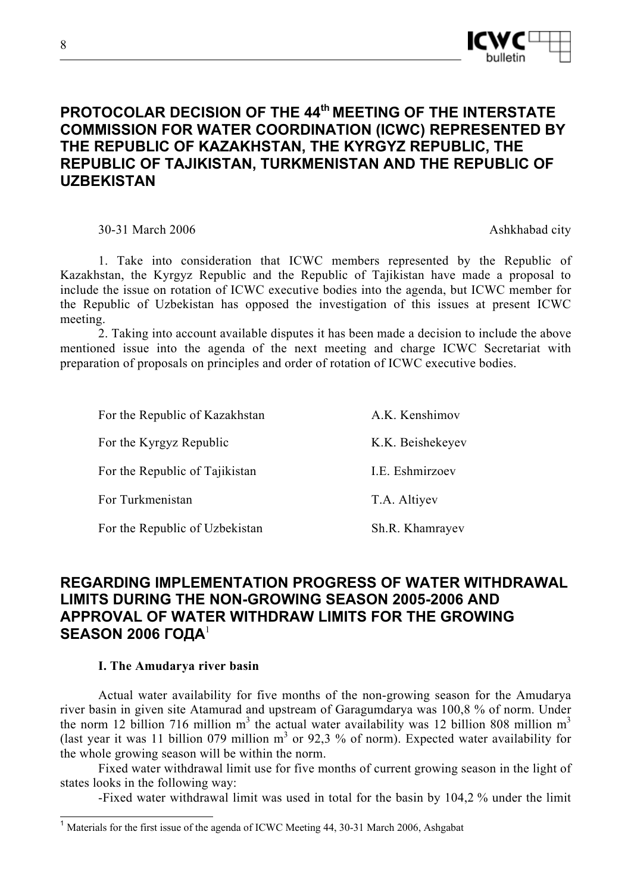

# **PROTOCOLAR DECISION OF THE 44th MEETING OF THE INTERSTATE COMMISSION FOR WATER COORDINATION (ICWC) REPRESENTED BY THE REPUBLIC OF KAZAKHSTAN, THE KYRGYZ REPUBLIC, THE REPUBLIC OF TAJIKISTAN, TURKMENISTAN AND THE REPUBLIC OF UZBEKISTAN**

30-31 March 2006 Ashkhabad city

1. Take into consideration that ICWC members represented by the Republic of Kazakhstan, the Kyrgyz Republic and the Republic of Tajikistan have made a proposal to include the issue on rotation of ICWC executive bodies into the agenda, but ICWC member for the Republic of Uzbekistan has opposed the investigation of this issues at present ICWC meeting.

2. Taking into account available disputes it has been made a decision to include the above mentioned issue into the agenda of the next meeting and charge ICWC Secretariat with preparation of proposals on principles and order of rotation of ICWC executive bodies.

| For the Republic of Kazakhstan | A.K. Kenshimov   |
|--------------------------------|------------------|
| For the Kyrgyz Republic        | K.K. Beishekeyev |
| For the Republic of Tajikistan | I.E. Eshmirzoev  |
| For Turkmenistan               | T.A. Altiyev     |
| For the Republic of Uzbekistan | Sh.R. Khamrayev  |

# **REGARDING IMPLEMENTATION PROGRESS OF WATER WITHDRAWAL LIMITS DURING THE NON-GROWING SEASON 2005-2006 AND APPROVAL OF WATER WITHDRAW LIMITS FOR THE GROWING SEASON 2006 ГОДА**<sup>1</sup>

## **I. The Amudarya river basin**

l

Actual water availability for five months of the non-growing season for the Amudarya river basin in given site Atamurad and upstream of Garagumdarya was 100,8 % of norm. Under the norm 12 billion 716 million  $m<sup>3</sup>$  the actual water availability was 12 billion 808 million  $m<sup>3</sup>$ (last year it was 11 billion 079 million  $m<sup>3</sup>$  or 92,3 % of norm). Expected water availability for the whole growing season will be within the norm.

Fixed water withdrawal limit use for five months of current growing season in the light of states looks in the following way:

-Fixed water withdrawal limit was used in total for the basin by 104,2 % under the limit

<sup>&</sup>lt;sup>1</sup> Materials for the first issue of the agenda of ICWC Meeting 44, 30-31 March 2006, Ashgabat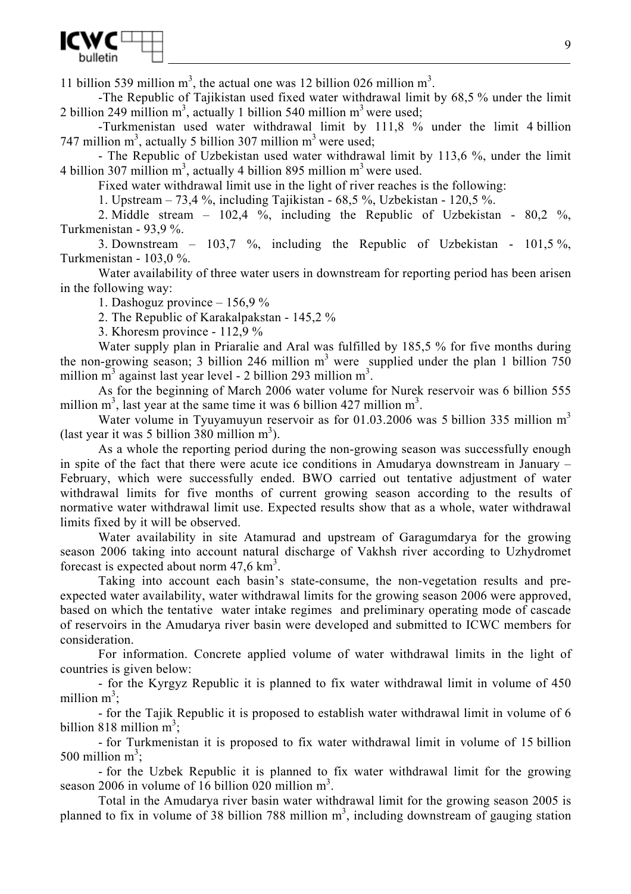

11 billion 539 million  $m^3$ , the actual one was 12 billion 026 million  $m^3$ .

-The Republic of Tajikistan used fixed water withdrawal limit by 68,5 % under the limit 2 billion 249 million  $m^3$ , actually 1 billion 540 million  $m^3$  were used;

-Turkmenistan used water withdrawal limit by 111,8 % under the limit 4 billion 747 million  $m^3$ , actually 5 billion 307 million  $m^3$  were used;

- The Republic of Uzbekistan used water withdrawal limit by 113,6 %, under the limit 4 billion 307 million  $m^3$ , actually 4 billion 895 million  $m^3$  were used.

Fixed water withdrawal limit use in the light of river reaches is the following:

1. Upstream – 73,4 %, including Tajikistan - 68,5 %, Uzbekistan - 120,5 %.

2. Middle stream – 102,4 %, including the Republic of Uzbekistan - 80,2 %, Turkmenistan - 93,9 %.

3. Downstream –  $103,7$  %, including the Republic of Uzbekistan -  $101,5$  %, Turkmenistan - 103,0 %.

Water availability of three water users in downstream for reporting period has been arisen in the following way:

1. Dashoguz province – 156,9 %

2. The Republic of Karakalpakstan - 145,2 %

3. Khoresm province - 112,9 %

Water supply plan in Priaralie and Aral was fulfilled by 185,5 % for five months during the non-growing season; 3 billion 246 million  $m<sup>3</sup>$  were supplied under the plan 1 billion 750 million  $\overline{m}^3$  against last year level - 2 billion 293 million  $m^3$ .

As for the beginning of March 2006 water volume for Nurek reservoir was 6 billion 555 million  $m^3$ , last year at the same time it was 6 billion 427 million  $m^3$ .

Water volume in Tyuyamuyun reservoir as for 01.03.2006 was 5 billion 335 million  $m<sup>3</sup>$ (last year it was 5 billion 380 million  $m<sup>3</sup>$ ).

As a whole the reporting period during the non-growing season was successfully enough in spite of the fact that there were acute ice conditions in Amudarya downstream in January – February, which were successfully ended. BWO carried out tentative adjustment of water withdrawal limits for five months of current growing season according to the results of normative water withdrawal limit use. Expected results show that as a whole, water withdrawal limits fixed by it will be observed.

Water availability in site Atamurad and upstream of Garagumdarya for the growing season 2006 taking into account natural discharge of Vakhsh river according to Uzhydromet forecast is expected about norm  $47,6 \text{ km}^3$ .

Taking into account each basin's state-consume, the non-vegetation results and preexpected water availability, water withdrawal limits for the growing season 2006 were approved, based on which the tentative water intake regimes and preliminary operating mode of cascade of reservoirs in the Amudarya river basin were developed and submitted to ICWC members for consideration.

For information. Concrete applied volume of water withdrawal limits in the light of countries is given below:

- for the Kyrgyz Republic it is planned to fix water withdrawal limit in volume of 450 million  $m^3$ ;

- for the Tajik Republic it is proposed to establish water withdrawal limit in volume of 6 billion 818 million  $m^3$ ;

- for Turkmenistan it is proposed to fix water withdrawal limit in volume of 15 billion 500 million  $m^3$ ;

- for the Uzbek Republic it is planned to fix water withdrawal limit for the growing season 2006 in volume of  $16$  billion 020 million  $m<sup>3</sup>$ .

Total in the Amudarya river basin water withdrawal limit for the growing season 2005 is planned to fix in volume of 38 billion 788 million  $m<sup>3</sup>$ , including downstream of gauging station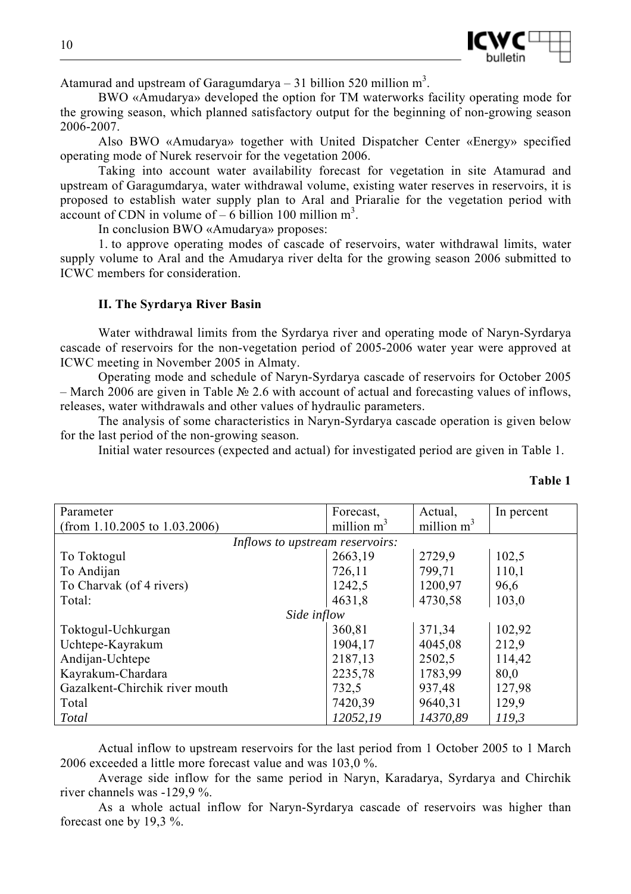

Atamurad and upstream of Garagumdarya – 31 billion 520 million  $m<sup>3</sup>$ .

BWO «Amudarya» developed the option for TM waterworks facility operating mode for the growing season, which planned satisfactory output for the beginning of non-growing season 2006-2007.

Also BWO «Amudarya» together with United Dispatcher Center «Energy» specified operating mode of Nurek reservoir for the vegetation 2006.

Taking into account water availability forecast for vegetation in site Atamurad and upstream of Garagumdarya, water withdrawal volume, existing water reserves in reservoirs, it is proposed to establish water supply plan to Aral and Priaralie for the vegetation period with  $\frac{1}{2}$  account of CDN in volume of – 6 billion 100 million m<sup>3</sup>.

In conclusion BWO «Amudarya» proposes:

1. to approve operating modes of cascade of reservoirs, water withdrawal limits, water supply volume to Aral and the Amudarya river delta for the growing season 2006 submitted to ICWC members for consideration.

### **II. The Syrdarya River Basin**

Water withdrawal limits from the Syrdarya river and operating mode of Naryn-Syrdarya cascade of reservoirs for the non-vegetation period of 2005-2006 water year were approved at ICWC meeting in November 2005 in Almaty.

Operating mode and schedule of Naryn-Syrdarya cascade of reservoirs for October 2005 – March 2006 are given in Table № 2.6 with account of actual and forecasting values of inflows, releases, water withdrawals and other values of hydraulic parameters.

The analysis of some characteristics in Naryn-Syrdarya cascade operation is given below for the last period of the non-growing season.

Initial water resources (expected and actual) for investigated period are given in Table 1.

| Parameter                        | Forecast,     | Actual,       | In percent |
|----------------------------------|---------------|---------------|------------|
| (from 1.10.2005 to $1.03.2006$ ) | million $m^3$ | million $m^3$ |            |
| Inflows to upstream reservoirs:  |               |               |            |
| To Toktogul                      | 2663,19       | 2729,9        | 102,5      |
| To Andijan                       | 726,11        | 799,71        | 110,1      |
| To Charvak (of 4 rivers)         | 1242,5        | 1200,97       | 96,6       |
| Total:                           | 4631,8        | 4730,58       | 103,0      |
| Side inflow                      |               |               |            |
| Toktogul-Uchkurgan               | 360,81        | 371,34        | 102,92     |
| Uchtepe-Kayrakum                 | 1904,17       | 4045,08       | 212,9      |
| Andijan-Uchtepe                  | 2187,13       | 2502,5        | 114,42     |
| Kayrakum-Chardara                | 2235,78       | 1783,99       | 80,0       |
| Gazalkent-Chirchik river mouth   | 732,5         | 937,48        | 127,98     |
| Total                            | 7420,39       | 9640,31       | 129,9      |
| Total                            | 12052,19      | 14370,89      | 119,3      |

Actual inflow to upstream reservoirs for the last period from 1 October 2005 to 1 March 2006 exceeded a little more forecast value and was 103,0 %.

Average side inflow for the same period in Naryn, Karadarya, Syrdarya and Chirchik river channels was -129,9 %.

As a whole actual inflow for Naryn-Syrdarya cascade of reservoirs was higher than forecast one by 19,3 %.

**Table 1**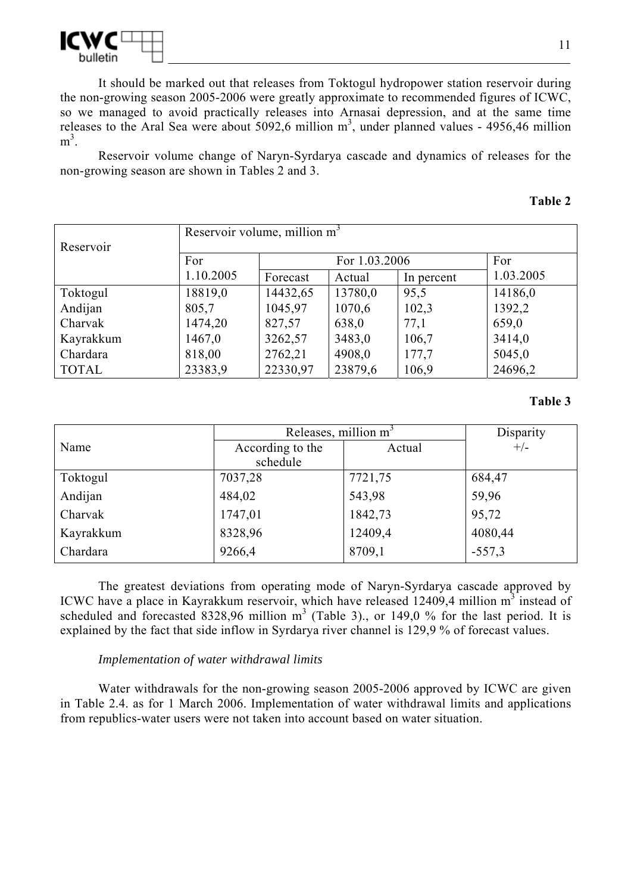

It should be marked out that releases from Toktogul hydropower station reservoir during the non-growing season 2005-2006 were greatly approximate to recommended figures of ICWC, so we managed to avoid practically releases into Arnasai depression, and at the same time releases to the Aral Sea were about 5092,6 million  $m^3$ , under planned values - 4956,46 million  $m^3$ .

Reservoir volume change of Naryn-Syrdarya cascade and dynamics of releases for the non-growing season are shown in Tables 2 and 3.

#### **Table 2**

| Reservoir    | Reservoir volume, million m <sup>3</sup> |                      |         |            |           |  |  |
|--------------|------------------------------------------|----------------------|---------|------------|-----------|--|--|
|              | For                                      | For 1.03.2006<br>For |         |            |           |  |  |
|              | 1.10.2005                                | Forecast             | Actual  | In percent | 1.03.2005 |  |  |
| Toktogul     | 18819,0                                  | 14432,65             | 13780,0 | 95,5       | 14186,0   |  |  |
| Andijan      | 805,7                                    | 1045,97              | 1070,6  | 102,3      | 1392,2    |  |  |
| Charvak      | 1474,20                                  | 827,57               | 638,0   | 77,1       | 659,0     |  |  |
| Kayrakkum    | 1467,0                                   | 3262,57              | 3483,0  | 106,7      | 3414,0    |  |  |
| Chardara     | 818,00                                   | 2762,21              | 4908,0  | 177,7      | 5045,0    |  |  |
| <b>TOTAL</b> | 23383,9                                  | 22330,97             | 23879,6 | 106,9      | 24696,2   |  |  |

### **Table 3**

|           | Releases, million $m3$ | Disparity |          |
|-----------|------------------------|-----------|----------|
| Name      | According to the       | Actual    | $+/-$    |
|           | schedule               |           |          |
| Toktogul  | 7037,28                | 7721,75   | 684,47   |
| Andijan   | 484,02                 | 543,98    | 59,96    |
| Charvak   | 1747,01                | 1842,73   | 95,72    |
| Kayrakkum | 8328,96                | 12409,4   | 4080,44  |
| Chardara  | 9266,4                 | 8709,1    | $-557,3$ |

The greatest deviations from operating mode of Naryn-Syrdarya cascade approved by ICWC have a place in Kayrakkum reservoir, which have released 12409,4 million m<sup>3</sup> instead of scheduled and forecasted 8328,96 million  $m^3$  (Table 3)., or 149,0 % for the last period. It is explained by the fact that side inflow in Syrdarya river channel is 129,9 % of forecast values.

### *Implementation of water withdrawal limits*

Water withdrawals for the non-growing season 2005-2006 approved by ICWC are given in Table 2.4. as for 1 March 2006. Implementation of water withdrawal limits and applications from republics-water users were not taken into account based on water situation.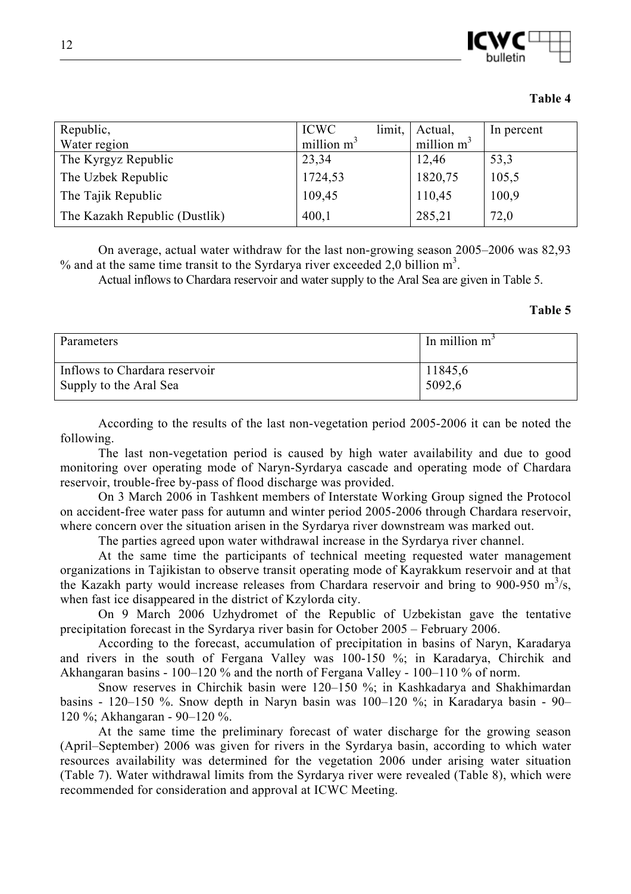

| Republic,           | <b>ICWC</b>   | limit, | Actual,      | In percent |
|---------------------|---------------|--------|--------------|------------|
| Water region        | million $m^3$ |        | million $m3$ |            |
| The Kyrgyz Republic | 23,34         |        | 12,46        | 53,3       |
| The Uzbek Republic  | 1724,53       |        | 1820,75      | 105,5      |

The Tajik Republic 109,45 110,45 100,9 The Kazakh Republic (Dustlik) 400,1 285,21 72,0

**Table 4** 

On average, actual water withdraw for the last non-growing season 2005–2006 was 82,93 % and at the same time transit to the Syrdarya river exceeded 2,0 billion  $m<sup>3</sup>$ .

Actual inflows to Chardara reservoir and water supply to the Aral Sea are given in Table 5.

#### **Table 5**

| Parameters                    | In million $m^3$ |
|-------------------------------|------------------|
| Inflows to Chardara reservoir | 11845,6          |
| Supply to the Aral Sea        | 5092,6           |

According to the results of the last non-vegetation period 2005-2006 it can be noted the following.

The last non-vegetation period is caused by high water availability and due to good monitoring over operating mode of Naryn-Syrdarya cascade and operating mode of Chardara reservoir, trouble-free by-pass of flood discharge was provided.

On 3 March 2006 in Tashkent members of Interstate Working Group signed the Protocol on accident-free water pass for autumn and winter period 2005-2006 through Chardara reservoir, where concern over the situation arisen in the Syrdarya river downstream was marked out.

The parties agreed upon water withdrawal increase in the Syrdarya river channel.

At the same time the participants of technical meeting requested water management organizations in Tajikistan to observe transit operating mode of Kayrakkum reservoir and at that the Kazakh party would increase releases from Chardara reservoir and bring to 900-950  $m^3/s$ , when fast ice disappeared in the district of Kzylorda city.

On 9 March 2006 Uzhydromet of the Republic of Uzbekistan gave the tentative precipitation forecast in the Syrdarya river basin for October 2005 – February 2006.

According to the forecast, accumulation of precipitation in basins of Naryn, Karadarya and rivers in the south of Fergana Valley was 100-150 %; in Karadarya, Chirchik and Akhangaran basins - 100–120 % and the north of Fergana Valley - 100–110 % of norm.

Snow reserves in Chirchik basin were 120–150 %; in Kashkadarya and Shakhimardan basins - 120–150 %. Snow depth in Naryn basin was 100–120 %; in Karadarya basin - 90– 120 %; Akhangaran - 90–120 %.

At the same time the preliminary forecast of water discharge for the growing season (April–September) 2006 was given for rivers in the Syrdarya basin, according to which water resources availability was determined for the vegetation 2006 under arising water situation (Table 7). Water withdrawal limits from the Syrdarya river were revealed (Table 8), which were recommended for consideration and approval at ICWC Meeting.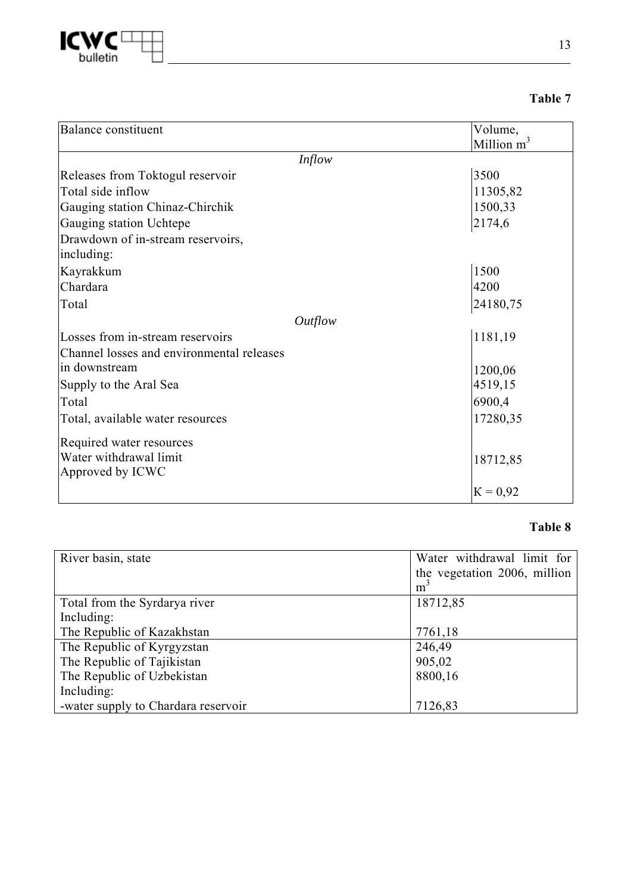

| וחו<br>Я<br>п |  |
|---------------|--|
|---------------|--|

| Balance constituent                       | Volume,       |
|-------------------------------------------|---------------|
|                                           | Million $m^3$ |
| <i>Inflow</i>                             |               |
| Releases from Toktogul reservoir          | 3500          |
| Total side inflow                         | 11305,82      |
| Gauging station Chinaz-Chirchik           | 1500,33       |
| Gauging station Uchtepe                   | 2174,6        |
| Drawdown of in-stream reservoirs,         |               |
| including:                                |               |
| Kayrakkum                                 | 1500          |
| Chardara                                  | 4200          |
| Total                                     | 24180,75      |
| Outflow                                   |               |
| Losses from in-stream reservoirs          | 1181,19       |
| Channel losses and environmental releases |               |
| in downstream                             | 1200,06       |
| Supply to the Aral Sea                    | 4519,15       |
| Total                                     | 6900,4        |
| Total, available water resources          | 17280,35      |
| Required water resources                  |               |
| Water withdrawal limit                    | 18712,85      |
| Approved by ICWC                          |               |
|                                           | $K = 0.92$    |

## **Table 8**

| River basin, state                  | Water withdrawal limit for   |
|-------------------------------------|------------------------------|
|                                     | the vegetation 2006, million |
|                                     | m <sup>3</sup>               |
| Total from the Syrdarya river       | 18712,85                     |
| Including:                          |                              |
| The Republic of Kazakhstan          | 7761,18                      |
| The Republic of Kyrgyzstan          | 246,49                       |
| The Republic of Tajikistan          | 905,02                       |
| The Republic of Uzbekistan          | 8800,16                      |
| Including:                          |                              |
| -water supply to Chardara reservoir | 7126,83                      |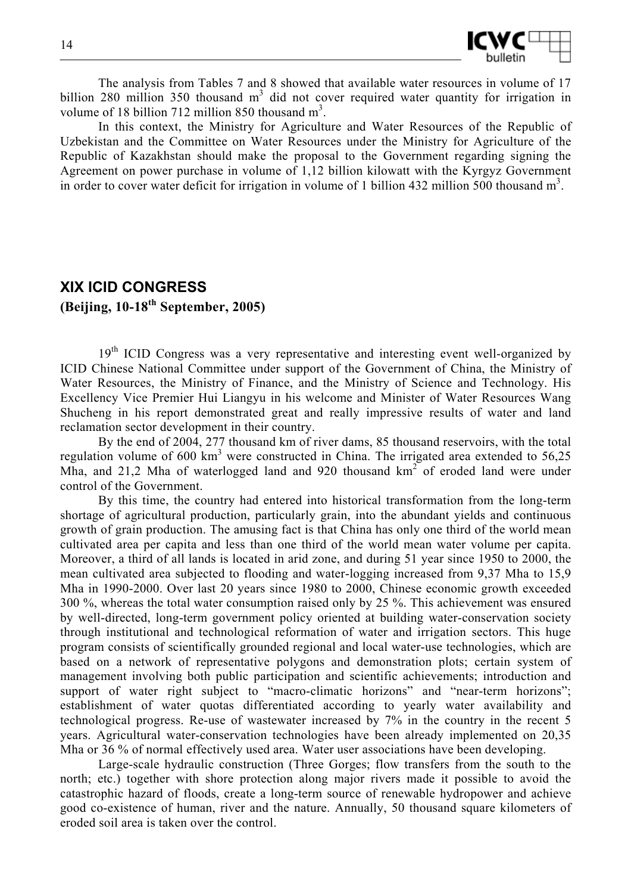

The analysis from Tables 7 and 8 showed that available water resources in volume of 17 billion 280 million 350 thousand  $m<sup>3</sup>$  did not cover required water quantity for irrigation in volume of 18 billion 712 million 850 thousand  $m<sup>3</sup>$ .

In this context, the Ministry for Agriculture and Water Resources of the Republic of Uzbekistan and the Committee on Water Resources under the Ministry for Agriculture of the Republic of Kazakhstan should make the proposal to the Government regarding signing the Agreement on power purchase in volume of 1,12 billion kilowatt with the Kyrgyz Government in order to cover water deficit for irrigation in volume of 1 billion 432 million 500 thousand  $m<sup>3</sup>$ .

# **XIX ICID CONGRESS (Beijing, 10-18th September, 2005)**

19<sup>th</sup> ICID Congress was a very representative and interesting event well-organized by ICID Chinese National Committee under support of the Government of China, the Ministry of Water Resources, the Ministry of Finance, and the Ministry of Science and Technology. His Excellency Vice Premier Hui Liangyu in his welcome and Minister of Water Resources Wang Shucheng in his report demonstrated great and really impressive results of water and land reclamation sector development in their country.

By the end of 2004, 277 thousand km of river dams, 85 thousand reservoirs, with the total regulation volume of  $600 \text{ km}^3$  were constructed in China. The irrigated area extended to  $56,25$ Mha, and 21,2 Mha of waterlogged land and 920 thousand  $km<sup>2</sup>$  of eroded land were under control of the Government.

By this time, the country had entered into historical transformation from the long-term shortage of agricultural production, particularly grain, into the abundant yields and continuous growth of grain production. The amusing fact is that China has only one third of the world mean cultivated area per capita and less than one third of the world mean water volume per capita. Moreover, a third of all lands is located in arid zone, and during 51 year since 1950 to 2000, the mean cultivated area subjected to flooding and water-logging increased from 9,37 Mha to 15,9 Mha in 1990-2000. Over last 20 years since 1980 to 2000, Chinese economic growth exceeded 300 %, whereas the total water consumption raised only by 25 %. This achievement was ensured by well-directed, long-term government policy oriented at building water-conservation society through institutional and technological reformation of water and irrigation sectors. This huge program consists of scientifically grounded regional and local water-use technologies, which are based on a network of representative polygons and demonstration plots; certain system of management involving both public participation and scientific achievements; introduction and support of water right subject to "macro-climatic horizons" and "near-term horizons"; establishment of water quotas differentiated according to yearly water availability and technological progress. Re-use of wastewater increased by 7% in the country in the recent 5 years. Agricultural water-conservation technologies have been already implemented on 20,35 Mha or 36 % of normal effectively used area. Water user associations have been developing.

Large-scale hydraulic construction (Three Gorges; flow transfers from the south to the north; etc.) together with shore protection along major rivers made it possible to avoid the catastrophic hazard of floods, create a long-term source of renewable hydropower and achieve good co-existence of human, river and the nature. Annually, 50 thousand square kilometers of eroded soil area is taken over the control.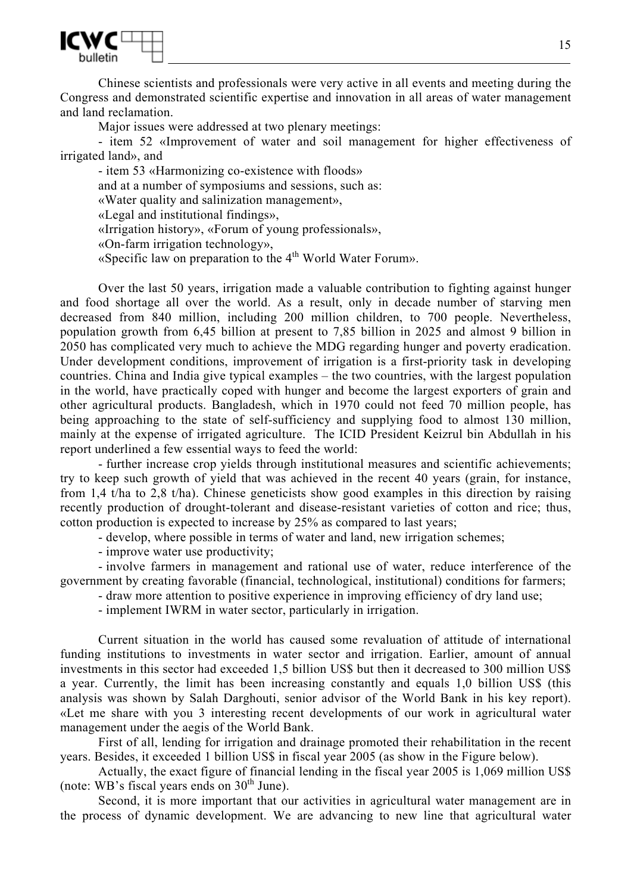

Chinese scientists and professionals were very active in all events and meeting during the Congress and demonstrated scientific expertise and innovation in all areas of water management and land reclamation.

Major issues were addressed at two plenary meetings:

- item 52 «Improvement of water and soil management for higher effectiveness of irrigated land», and

- item 53 «Harmonizing co-existence with floods» and at a number of symposiums and sessions, such as: «Water quality and salinization management», «Legal and institutional findings», «Irrigation history», «Forum of young professionals», «On-farm irrigation technology», «Specific law on preparation to the 4<sup>th</sup> World Water Forum».

Over the last 50 years, irrigation made a valuable contribution to fighting against hunger and food shortage all over the world. As a result, only in decade number of starving men decreased from 840 million, including 200 million children, to 700 people. Nevertheless, population growth from 6,45 billion at present to 7,85 billion in 2025 and almost 9 billion in 2050 has complicated very much to achieve the MDG regarding hunger and poverty eradication. Under development conditions, improvement of irrigation is a first-priority task in developing countries. China and India give typical examples – the two countries, with the largest population in the world, have practically coped with hunger and become the largest exporters of grain and other agricultural products. Bangladesh, which in 1970 could not feed 70 million people, has being approaching to the state of self-sufficiency and supplying food to almost 130 million, mainly at the expense of irrigated agriculture. The ICID President Keizrul bin Abdullah in his report underlined a few essential ways to feed the world:

- further increase crop yields through institutional measures and scientific achievements; try to keep such growth of yield that was achieved in the recent 40 years (grain, for instance, from 1,4 t/ha to 2,8 t/ha). Chinese geneticists show good examples in this direction by raising recently production of drought-tolerant and disease-resistant varieties of cotton and rice; thus, cotton production is expected to increase by 25% as compared to last years;

- develop, where possible in terms of water and land, new irrigation schemes;

- improve water use productivity;

- involve farmers in management and rational use of water, reduce interference of the government by creating favorable (financial, technological, institutional) conditions for farmers;

- draw more attention to positive experience in improving efficiency of dry land use;
- implement IWRM in water sector, particularly in irrigation.

Current situation in the world has caused some revaluation of attitude of international funding institutions to investments in water sector and irrigation. Earlier, amount of annual investments in this sector had exceeded 1,5 billion US\$ but then it decreased to 300 million US\$ a year. Currently, the limit has been increasing constantly and equals 1,0 billion US\$ (this analysis was shown by Salah Darghouti, senior advisor of the World Bank in his key report). «Let me share with you 3 interesting recent developments of our work in agricultural water management under the aegis of the World Bank.

First of all, lending for irrigation and drainage promoted their rehabilitation in the recent years. Besides, it exceeded 1 billion US\$ in fiscal year 2005 (as show in the Figure below).

Actually, the exact figure of financial lending in the fiscal year 2005 is 1,069 million US\$ (note: WB's fiscal years ends on  $30<sup>th</sup>$  June).

Second, it is more important that our activities in agricultural water management are in the process of dynamic development. We are advancing to new line that agricultural water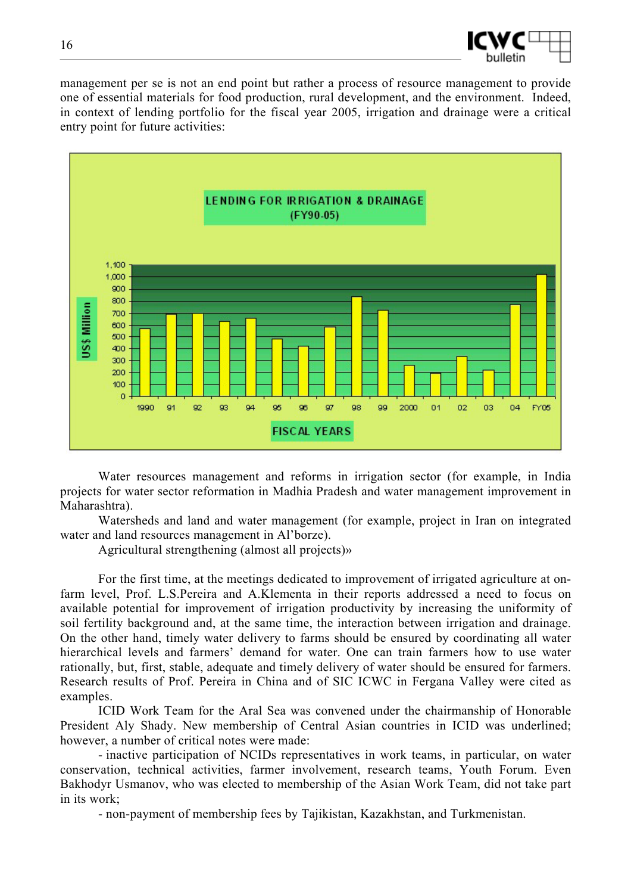

management per se is not an end point but rather a process of resource management to provide one of essential materials for food production, rural development, and the environment. Indeed, in context of lending portfolio for the fiscal year 2005, irrigation and drainage were a critical entry point for future activities:



Water resources management and reforms in irrigation sector (for example, in India projects for water sector reformation in Madhia Pradesh and water management improvement in Maharashtra).

Watersheds and land and water management (for example, project in Iran on integrated water and land resources management in Al'borze).

Agricultural strengthening (almost all projects)»

For the first time, at the meetings dedicated to improvement of irrigated agriculture at onfarm level, Prof. L.S.Pereira and A.Klementa in their reports addressed a need to focus on available potential for improvement of irrigation productivity by increasing the uniformity of soil fertility background and, at the same time, the interaction between irrigation and drainage. On the other hand, timely water delivery to farms should be ensured by coordinating all water hierarchical levels and farmers' demand for water. One can train farmers how to use water rationally, but, first, stable, adequate and timely delivery of water should be ensured for farmers. Research results of Prof. Pereira in China and of SIC ICWC in Fergana Valley were cited as examples.

ICID Work Team for the Aral Sea was convened under the chairmanship of Honorable President Aly Shady. New membership of Central Asian countries in ICID was underlined; however, a number of critical notes were made:

- inactive participation of NCIDs representatives in work teams, in particular, on water conservation, technical activities, farmer involvement, research teams, Youth Forum. Even Bakhodyr Usmanov, who was elected to membership of the Asian Work Team, did not take part in its work;

- non-payment of membership fees by Tajikistan, Kazakhstan, and Turkmenistan.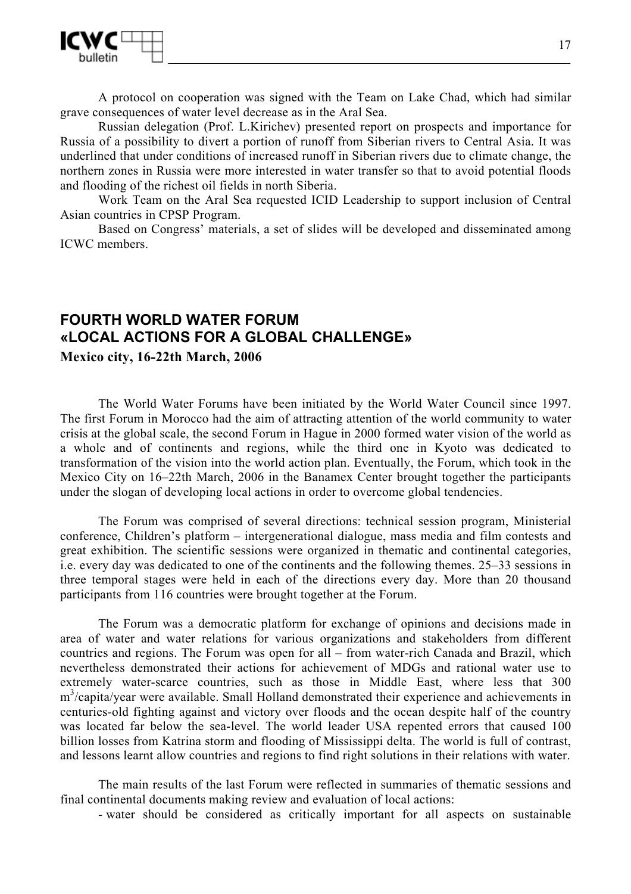

A protocol on cooperation was signed with the Team on Lake Chad, which had similar grave consequences of water level decrease as in the Aral Sea.

Russian delegation (Prof. L.Kirichev) presented report on prospects and importance for Russia of a possibility to divert a portion of runoff from Siberian rivers to Central Asia. It was underlined that under conditions of increased runoff in Siberian rivers due to climate change, the northern zones in Russia were more interested in water transfer so that to avoid potential floods and flooding of the richest oil fields in north Siberia.

Work Team on the Aral Sea requested ICID Leadership to support inclusion of Central Asian countries in CPSP Program.

Based on Congress' materials, a set of slides will be developed and disseminated among ICWC members.

# **FOURTH WORLD WATER FORUM «LOCAL ACTIONS FOR A GLOBAL CHALLENGE»**

**Mexico city, 16-22th March, 2006** 

The World Water Forums have been initiated by the World Water Council since 1997. The first Forum in Morocco had the aim of attracting attention of the world community to water crisis at the global scale, the second Forum in Hague in 2000 formed water vision of the world as a whole and of continents and regions, while the third one in Kyoto was dedicated to transformation of the vision into the world action plan. Eventually, the Forum, which took in the Mexico City on 16–22th March, 2006 in the Banamex Center brought together the participants under the slogan of developing local actions in order to overcome global tendencies.

The Forum was comprised of several directions: technical session program, Ministerial conference, Children's platform – intergenerational dialogue, mass media and film contests and great exhibition. The scientific sessions were organized in thematic and continental categories, i.e. every day was dedicated to one of the continents and the following themes. 25–33 sessions in three temporal stages were held in each of the directions every day. More than 20 thousand participants from 116 countries were brought together at the Forum.

The Forum was a democratic platform for exchange of opinions and decisions made in area of water and water relations for various organizations and stakeholders from different countries and regions. The Forum was open for all – from water-rich Canada and Brazil, which nevertheless demonstrated their actions for achievement of MDGs and rational water use to extremely water-scarce countries, such as those in Middle East, where less that 300 m<sup>3</sup>/capita/year were available. Small Holland demonstrated their experience and achievements in centuries-old fighting against and victory over floods and the ocean despite half of the country was located far below the sea-level. The world leader USA repented errors that caused 100 billion losses from Katrina storm and flooding of Mississippi delta. The world is full of contrast, and lessons learnt allow countries and regions to find right solutions in their relations with water.

The main results of the last Forum were reflected in summaries of thematic sessions and final continental documents making review and evaluation of local actions:

- water should be considered as critically important for all aspects on sustainable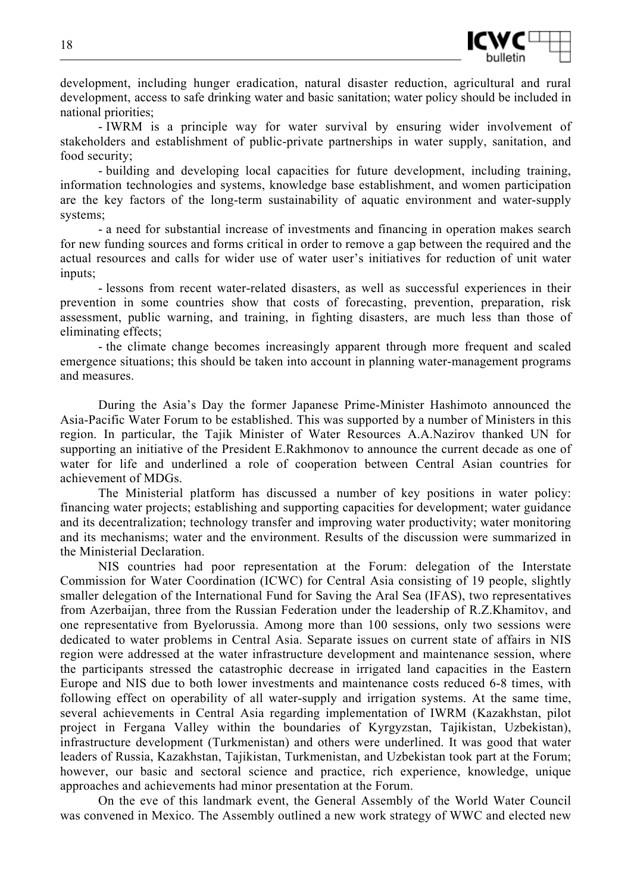

development, including hunger eradication, natural disaster reduction, agricultural and rural development, access to safe drinking water and basic sanitation; water policy should be included in national priorities;

- IWRM is a principle way for water survival by ensuring wider involvement of stakeholders and establishment of public-private partnerships in water supply, sanitation, and food security;

- building and developing local capacities for future development, including training, information technologies and systems, knowledge base establishment, and women participation are the key factors of the long-term sustainability of aquatic environment and water-supply systems;

- a need for substantial increase of investments and financing in operation makes search for new funding sources and forms critical in order to remove a gap between the required and the actual resources and calls for wider use of water user's initiatives for reduction of unit water inputs;

- lessons from recent water-related disasters, as well as successful experiences in their prevention in some countries show that costs of forecasting, prevention, preparation, risk assessment, public warning, and training, in fighting disasters, are much less than those of eliminating effects;

- the climate change becomes increasingly apparent through more frequent and scaled emergence situations; this should be taken into account in planning water-management programs and measures.

During the Asia's Day the former Japanese Prime-Minister Hashimoto announced the Asia-Pacific Water Forum to be established. This was supported by a number of Ministers in this region. In particular, the Tajik Minister of Water Resources A.A.Nazirov thanked UN for supporting an initiative of the President E.Rakhmonov to announce the current decade as one of water for life and underlined a role of cooperation between Central Asian countries for achievement of MDGs.

The Ministerial platform has discussed a number of key positions in water policy: financing water projects; establishing and supporting capacities for development; water guidance and its decentralization; technology transfer and improving water productivity; water monitoring and its mechanisms; water and the environment. Results of the discussion were summarized in the Ministerial Declaration.

NIS countries had poor representation at the Forum: delegation of the Interstate Commission for Water Coordination (ICWC) for Central Asia consisting of 19 people, slightly smaller delegation of the International Fund for Saving the Aral Sea (IFAS), two representatives from Azerbaijan, three from the Russian Federation under the leadership of R.Z.Khamitov, and one representative from Byelorussia. Among more than 100 sessions, only two sessions were dedicated to water problems in Central Asia. Separate issues on current state of affairs in NIS region were addressed at the water infrastructure development and maintenance session, where the participants stressed the catastrophic decrease in irrigated land capacities in the Eastern Europe and NIS due to both lower investments and maintenance costs reduced 6-8 times, with following effect on operability of all water-supply and irrigation systems. At the same time, several achievements in Central Asia regarding implementation of IWRM (Kazakhstan, pilot project in Fergana Valley within the boundaries of Kyrgyzstan, Tajikistan, Uzbekistan), infrastructure development (Turkmenistan) and others were underlined. It was good that water leaders of Russia, Kazakhstan, Tajikistan, Turkmenistan, and Uzbekistan took part at the Forum; however, our basic and sectoral science and practice, rich experience, knowledge, unique approaches and achievements had minor presentation at the Forum.

On the eve of this landmark event, the General Assembly of the World Water Council was convened in Mexico. The Assembly outlined a new work strategy of WWC and elected new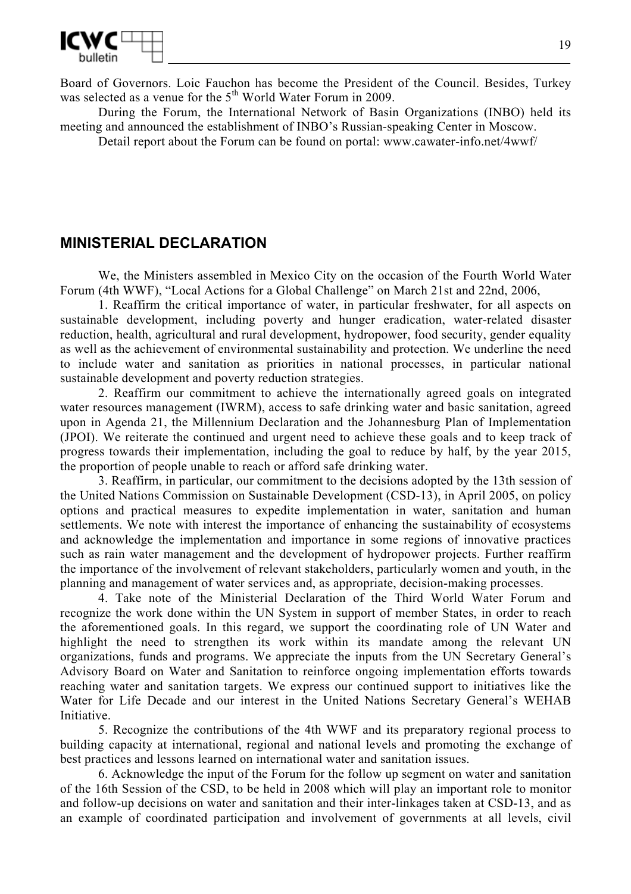

Board of Governors. Loic Fauchon has become the President of the Council. Besides, Turkey was selected as a venue for the 5<sup>th</sup> World Water Forum in 2009.

During the Forum, the International Network of Basin Organizations (INBO) held its meeting and announced the establishment of INBO's Russian-speaking Center in Moscow.

Detail report about the Forum can be found on portal: www.cawater-info.net/4wwf/

## **MINISTERIAL DECLARATION**

We, the Ministers assembled in Mexico City on the occasion of the Fourth World Water Forum (4th WWF), "Local Actions for a Global Challenge" on March 21st and 22nd, 2006,

1. Reaffirm the critical importance of water, in particular freshwater, for all aspects on sustainable development, including poverty and hunger eradication, water-related disaster reduction, health, agricultural and rural development, hydropower, food security, gender equality as well as the achievement of environmental sustainability and protection. We underline the need to include water and sanitation as priorities in national processes, in particular national sustainable development and poverty reduction strategies.

2. Reaffirm our commitment to achieve the internationally agreed goals on integrated water resources management (IWRM), access to safe drinking water and basic sanitation, agreed upon in Agenda 21, the Millennium Declaration and the Johannesburg Plan of Implementation (JPOI). We reiterate the continued and urgent need to achieve these goals and to keep track of progress towards their implementation, including the goal to reduce by half, by the year 2015, the proportion of people unable to reach or afford safe drinking water.

3. Reaffirm, in particular, our commitment to the decisions adopted by the 13th session of the United Nations Commission on Sustainable Development (CSD-13), in April 2005, on policy options and practical measures to expedite implementation in water, sanitation and human settlements. We note with interest the importance of enhancing the sustainability of ecosystems and acknowledge the implementation and importance in some regions of innovative practices such as rain water management and the development of hydropower projects. Further reaffirm the importance of the involvement of relevant stakeholders, particularly women and youth, in the planning and management of water services and, as appropriate, decision-making processes.

4. Take note of the Ministerial Declaration of the Third World Water Forum and recognize the work done within the UN System in support of member States, in order to reach the aforementioned goals. In this regard, we support the coordinating role of UN Water and highlight the need to strengthen its work within its mandate among the relevant UN organizations, funds and programs. We appreciate the inputs from the UN Secretary General's Advisory Board on Water and Sanitation to reinforce ongoing implementation efforts towards reaching water and sanitation targets. We express our continued support to initiatives like the Water for Life Decade and our interest in the United Nations Secretary General's WEHAB Initiative.

5. Recognize the contributions of the 4th WWF and its preparatory regional process to building capacity at international, regional and national levels and promoting the exchange of best practices and lessons learned on international water and sanitation issues.

6. Acknowledge the input of the Forum for the follow up segment on water and sanitation of the 16th Session of the CSD, to be held in 2008 which will play an important role to monitor and follow-up decisions on water and sanitation and their inter-linkages taken at CSD-13, and as an example of coordinated participation and involvement of governments at all levels, civil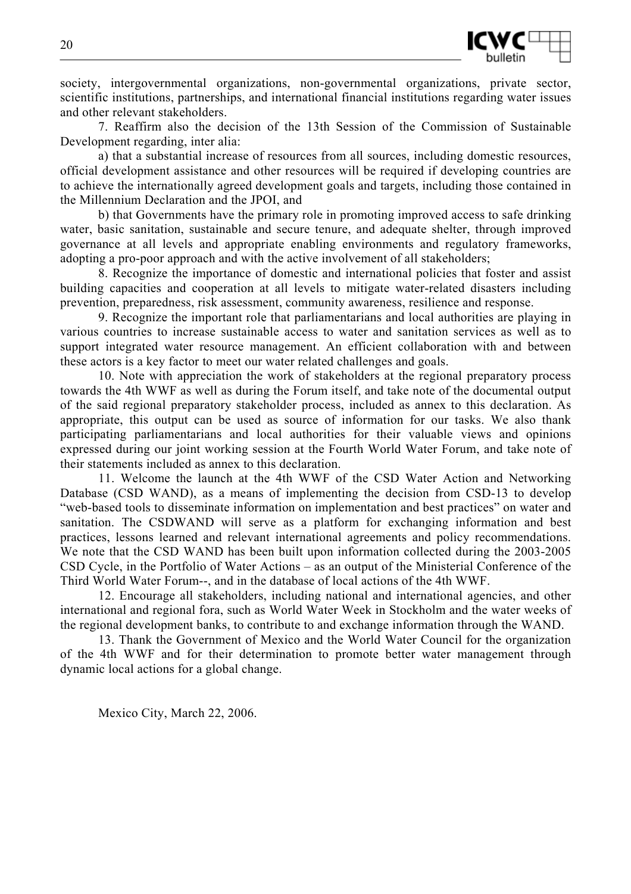

society, intergovernmental organizations, non-governmental organizations, private sector, scientific institutions, partnerships, and international financial institutions regarding water issues and other relevant stakeholders.

7. Reaffirm also the decision of the 13th Session of the Commission of Sustainable Development regarding, inter alia:

a) that a substantial increase of resources from all sources, including domestic resources, official development assistance and other resources will be required if developing countries are to achieve the internationally agreed development goals and targets, including those contained in the Millennium Declaration and the JPOI, and

b) that Governments have the primary role in promoting improved access to safe drinking water, basic sanitation, sustainable and secure tenure, and adequate shelter, through improved governance at all levels and appropriate enabling environments and regulatory frameworks, adopting a pro-poor approach and with the active involvement of all stakeholders;

8. Recognize the importance of domestic and international policies that foster and assist building capacities and cooperation at all levels to mitigate water-related disasters including prevention, preparedness, risk assessment, community awareness, resilience and response.

9. Recognize the important role that parliamentarians and local authorities are playing in various countries to increase sustainable access to water and sanitation services as well as to support integrated water resource management. An efficient collaboration with and between these actors is a key factor to meet our water related challenges and goals.

10. Note with appreciation the work of stakeholders at the regional preparatory process towards the 4th WWF as well as during the Forum itself, and take note of the documental output of the said regional preparatory stakeholder process, included as annex to this declaration. As appropriate, this output can be used as source of information for our tasks. We also thank participating parliamentarians and local authorities for their valuable views and opinions expressed during our joint working session at the Fourth World Water Forum, and take note of their statements included as annex to this declaration.

11. Welcome the launch at the 4th WWF of the CSD Water Action and Networking Database (CSD WAND), as a means of implementing the decision from CSD-13 to develop "web-based tools to disseminate information on implementation and best practices" on water and sanitation. The CSDWAND will serve as a platform for exchanging information and best practices, lessons learned and relevant international agreements and policy recommendations. We note that the CSD WAND has been built upon information collected during the 2003-2005 CSD Cycle, in the Portfolio of Water Actions – as an output of the Ministerial Conference of the Third World Water Forum--, and in the database of local actions of the 4th WWF.

12. Encourage all stakeholders, including national and international agencies, and other international and regional fora, such as World Water Week in Stockholm and the water weeks of the regional development banks, to contribute to and exchange information through the WAND.

13. Thank the Government of Mexico and the World Water Council for the organization of the 4th WWF and for their determination to promote better water management through dynamic local actions for a global change.

Mexico City, March 22, 2006.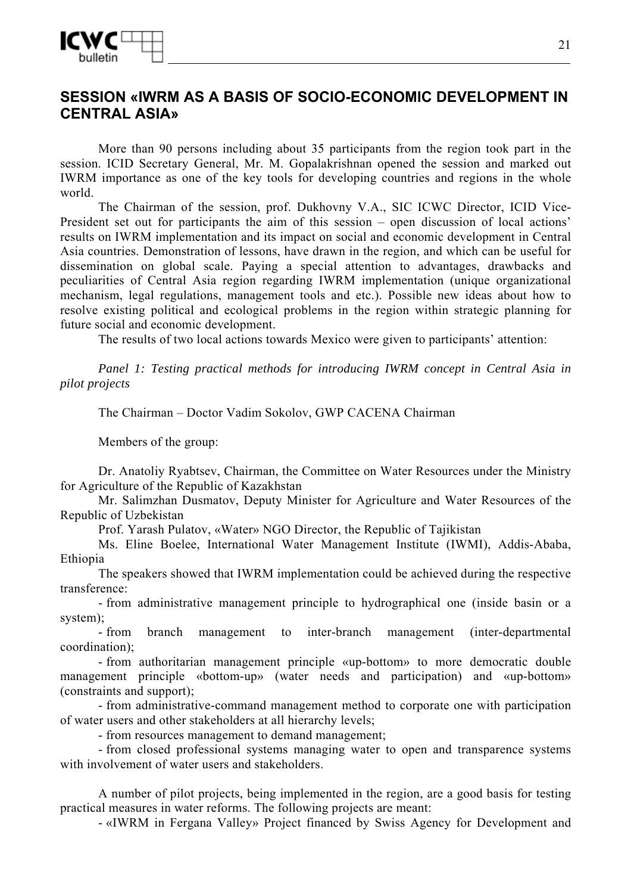

# **SESSION «IWRM AS A BASIS OF SOCIO-ECONOMIC DEVELOPMENT IN CENTRAL ASIA»**

More than 90 persons including about 35 participants from the region took part in the session. ICID Secretary General, Mr. M. Gopalakrishnan opened the session and marked out IWRM importance as one of the key tools for developing countries and regions in the whole world.

The Chairman of the session, prof. Dukhovny V.A., SIC ICWC Director, ICID Vice-President set out for participants the aim of this session – open discussion of local actions' results on IWRM implementation and its impact on social and economic development in Central Asia countries. Demonstration of lessons, have drawn in the region, and which can be useful for dissemination on global scale. Paying a special attention to advantages, drawbacks and peculiarities of Central Asia region regarding IWRM implementation (unique organizational mechanism, legal regulations, management tools and etc.). Possible new ideas about how to resolve existing political and ecological problems in the region within strategic planning for future social and economic development.

The results of two local actions towards Mexico were given to participants' attention:

*Panel 1: Testing practical methods for introducing IWRM concept in Central Asia in pilot projects* 

The Chairman – Doctor Vadim Sokolov, GWP CACENA Chairman

Members of the group:

Dr. Anatoliy Ryabtsev, Chairman, the Committee on Water Resources under the Ministry for Agriculture of the Republic of Kazakhstan

Mr. Salimzhan Dusmatov, Deputy Minister for Agriculture and Water Resources of the Republic of Uzbekistan

Prof. Yarash Pulatov, «Water» NGO Director, the Republic of Tajikistan

Ms. Eline Boelee, International Water Management Institute (IWMI), Addis-Ababa, Ethiopia

The speakers showed that IWRM implementation could be achieved during the respective transference:

- from administrative management principle to hydrographical one (inside basin or a system);

- from branch management to inter-branch management (inter-departmental coordination);

- from authoritarian management principle «up-bottom» to more democratic double management principle «bottom-up» (water needs and participation) and «up-bottom» (constraints and support);

- from administrative-command management method to corporate one with participation of water users and other stakeholders at all hierarchy levels;

- from resources management to demand management;

- from closed professional systems managing water to open and transparence systems with involvement of water users and stakeholders.

A number of pilot projects, being implemented in the region, are a good basis for testing practical measures in water reforms. The following projects are meant:

- «IWRM in Fergana Valley» Project financed by Swiss Agency for Development and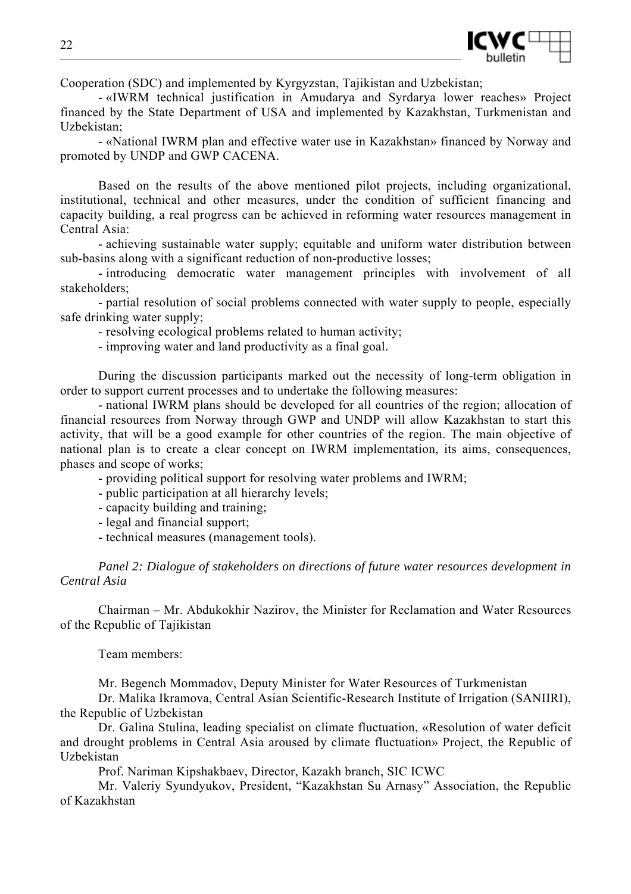

Cooperation (SDC) and implemented by Kyrgyzstan, Tajikistan and Uzbekistan;

- «IWRM technical justification in Amudarya and Syrdarya lower reaches» Project financed by the State Department of USA and implemented by Kazakhstan, Turkmenistan and Uzbekistan;

- «National IWRM plan and effective water use in Kazakhstan» financed by Norway and promoted by UNDP and GWP CACENA.

Based on the results of the above mentioned pilot projects, including organizational, institutional, technical and other measures, under the condition of sufficient financing and capacity building, a real progress can be achieved in reforming water resources management in Central Asia:

- achieving sustainable water supply; equitable and uniform water distribution between sub-basins along with a significant reduction of non-productive losses;

- introducing democratic water management principles with involvement of all stakeholders;

- partial resolution of social problems connected with water supply to people, especially safe drinking water supply;

- resolving ecological problems related to human activity;

- improving water and land productivity as a final goal.

During the discussion participants marked out the necessity of long-term obligation in order to support current processes and to undertake the following measures:

- national IWRM plans should be developed for all countries of the region; allocation of financial resources from Norway through GWP and UNDP will allow Kazakhstan to start this activity, that will be a good example for other countries of the region. The main objective of national plan is to create a clear concept on IWRM implementation, its aims, consequences, phases and scope of works;

- providing political support for resolving water problems and IWRM;

- public participation at all hierarchy levels;

- capacity building and training;

- legal and financial support;

- technical measures (management tools).

*Panel 2: Dialogue of stakeholders on directions of future water resources development in Central Asia* 

Chairman – Mr. Abdukokhir Nazirov, the Minister for Reclamation and Water Resources of the Republic of Tajikistan

Team members:

Mr. Begench Mommadov, Deputy Minister for Water Resources of Turkmenistan

Dr. Malika Ikramova, Central Asian Scientific-Research Institute of Irrigation (SANIIRI), the Republic of Uzbekistan

Dr. Galina Stulina, leading specialist on climate fluctuation, «Resolution of water deficit and drought problems in Central Asia aroused by climate fluctuation» Project, the Republic of Uzbekistan

Prof. Nariman Kipshakbaev, Director, Kazakh branch, SIC ICWC

Mr. Valeriy Syundyukov, President, "Kazakhstan Su Arnasy" Association, the Republic of Kazakhstan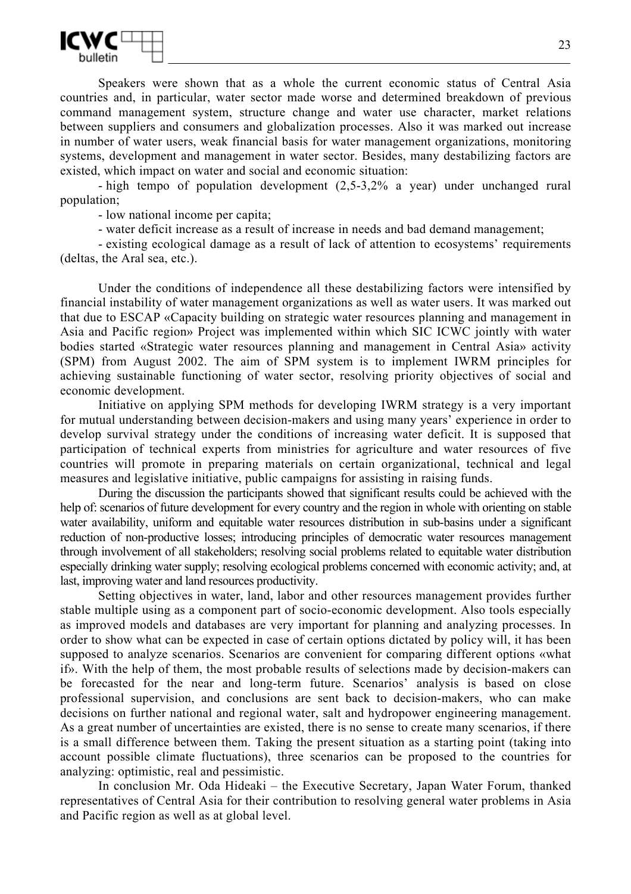

Speakers were shown that as a whole the current economic status of Central Asia countries and, in particular, water sector made worse and determined breakdown of previous command management system, structure change and water use character, market relations between suppliers and consumers and globalization processes. Also it was marked out increase in number of water users, weak financial basis for water management organizations, monitoring systems, development and management in water sector. Besides, many destabilizing factors are existed, which impact on water and social and economic situation:

- high tempo of population development (2,5-3,2% a year) under unchanged rural population;

- low national income per capita;

- water deficit increase as a result of increase in needs and bad demand management;

- existing ecological damage as a result of lack of attention to ecosystems' requirements (deltas, the Aral sea, etc.).

Under the conditions of independence all these destabilizing factors were intensified by financial instability of water management organizations as well as water users. It was marked out that due to ESCAP «Capacity building on strategic water resources planning and management in Asia and Pacific region» Project was implemented within which SIC ICWC jointly with water bodies started «Strategic water resources planning and management in Central Asia» activity (SPM) from August 2002. The aim of SPM system is to implement IWRM principles for achieving sustainable functioning of water sector, resolving priority objectives of social and economic development.

Initiative on applying SPM methods for developing IWRM strategy is a very important for mutual understanding between decision-makers and using many years' experience in order to develop survival strategy under the conditions of increasing water deficit. It is supposed that participation of technical experts from ministries for agriculture and water resources of five countries will promote in preparing materials on certain organizational, technical and legal measures and legislative initiative, public campaigns for assisting in raising funds.

During the discussion the participants showed that significant results could be achieved with the help of: scenarios of future development for every country and the region in whole with orienting on stable water availability, uniform and equitable water resources distribution in sub-basins under a significant reduction of non-productive losses; introducing principles of democratic water resources management through involvement of all stakeholders; resolving social problems related to equitable water distribution especially drinking water supply; resolving ecological problems concerned with economic activity; and, at last, improving water and land resources productivity.

Setting objectives in water, land, labor and other resources management provides further stable multiple using as a component part of socio-economic development. Also tools especially as improved models and databases are very important for planning and analyzing processes. In order to show what can be expected in case of certain options dictated by policy will, it has been supposed to analyze scenarios. Scenarios are convenient for comparing different options «what if». With the help of them, the most probable results of selections made by decision-makers can be forecasted for the near and long-term future. Scenarios' analysis is based on close professional supervision, and conclusions are sent back to decision-makers, who can make decisions on further national and regional water, salt and hydropower engineering management. As a great number of uncertainties are existed, there is no sense to create many scenarios, if there is a small difference between them. Taking the present situation as a starting point (taking into account possible climate fluctuations), three scenarios can be proposed to the countries for analyzing: optimistic, real and pessimistic.

In conclusion Mr. Oda Hideaki – the Executive Secretary, Japan Water Forum, thanked representatives of Central Asia for their contribution to resolving general water problems in Asia and Pacific region as well as at global level.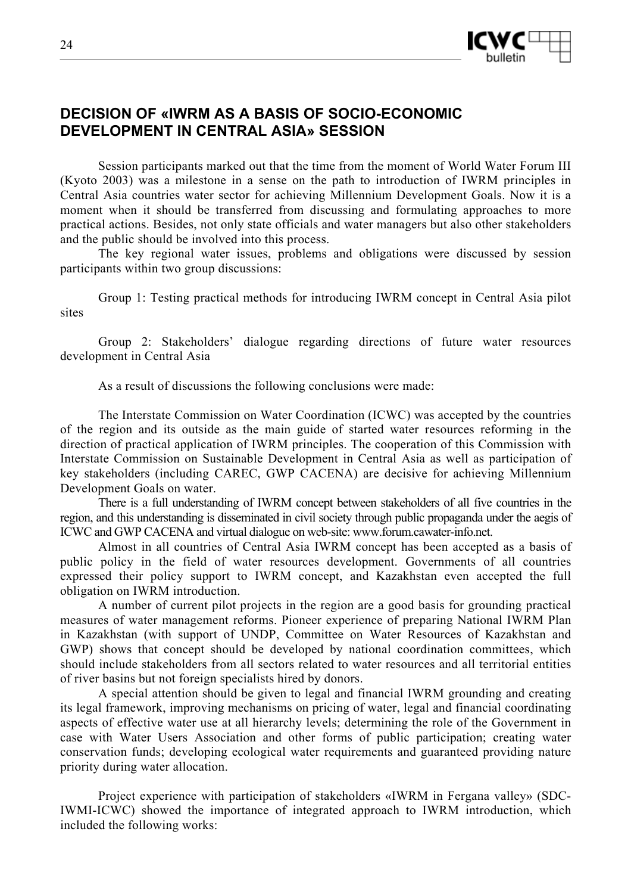

# **DECISION OF «IWRM AS A BASIS OF SOCIO-ECONOMIC DEVELOPMENT IN CENTRAL ASIA» SESSION**

Session participants marked out that the time from the moment of World Water Forum III (Kyoto 2003) was a milestone in a sense on the path to introduction of IWRM principles in Central Asia countries water sector for achieving Millennium Development Goals. Now it is a moment when it should be transferred from discussing and formulating approaches to more practical actions. Besides, not only state officials and water managers but also other stakeholders and the public should be involved into this process.

The key regional water issues, problems and obligations were discussed by session participants within two group discussions:

Group 1: Testing practical methods for introducing IWRM concept in Central Asia pilot sites

Group 2: Stakeholders' dialogue regarding directions of future water resources development in Central Asia

As a result of discussions the following conclusions were made:

The Interstate Commission on Water Coordination (ICWC) was accepted by the countries of the region and its outside as the main guide of started water resources reforming in the direction of practical application of IWRM principles. The cooperation of this Commission with Interstate Commission on Sustainable Development in Central Asia as well as participation of key stakeholders (including CAREC, GWP CACENA) are decisive for achieving Millennium Development Goals on water.

There is a full understanding of IWRM concept between stakeholders of all five countries in the region, and this understanding is disseminated in civil society through public propaganda under the aegis of ICWC and GWP CACENA and virtual dialogue on web-site: www.forum.cawater-info.net.

Almost in all countries of Central Asia IWRM concept has been accepted as a basis of public policy in the field of water resources development. Governments of all countries expressed their policy support to IWRM concept, and Kazakhstan even accepted the full obligation on IWRM introduction.

A number of current pilot projects in the region are a good basis for grounding practical measures of water management reforms. Pioneer experience of preparing National IWRM Plan in Kazakhstan (with support of UNDP, Committee on Water Resources of Kazakhstan and GWP) shows that concept should be developed by national coordination committees, which should include stakeholders from all sectors related to water resources and all territorial entities of river basins but not foreign specialists hired by donors.

A special attention should be given to legal and financial IWRM grounding and creating its legal framework, improving mechanisms on pricing of water, legal and financial coordinating aspects of effective water use at all hierarchy levels; determining the role of the Government in case with Water Users Association and other forms of public participation; creating water conservation funds; developing ecological water requirements and guaranteed providing nature priority during water allocation.

Project experience with participation of stakeholders «IWRM in Fergana valley» (SDC-IWMI-ICWC) showed the importance of integrated approach to IWRM introduction, which included the following works: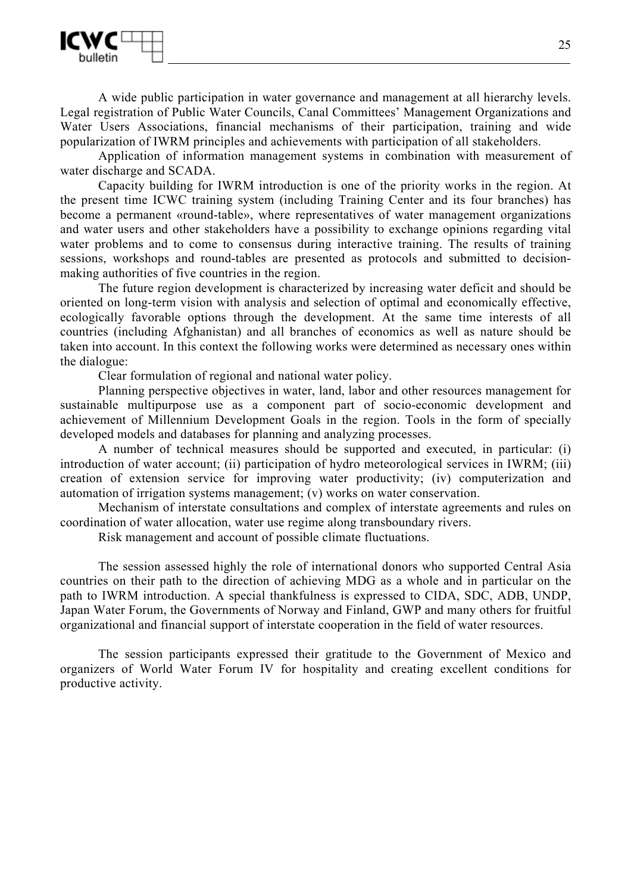

A wide public participation in water governance and management at all hierarchy levels. Legal registration of Public Water Councils, Canal Committees' Management Organizations and Water Users Associations, financial mechanisms of their participation, training and wide popularization of IWRM principles and achievements with participation of all stakeholders.

Application of information management systems in combination with measurement of water discharge and SCADA.

Capacity building for IWRM introduction is one of the priority works in the region. At the present time ICWC training system (including Training Center and its four branches) has become a permanent «round-table», where representatives of water management organizations and water users and other stakeholders have a possibility to exchange opinions regarding vital water problems and to come to consensus during interactive training. The results of training sessions, workshops and round-tables are presented as protocols and submitted to decisionmaking authorities of five countries in the region.

The future region development is characterized by increasing water deficit and should be oriented on long-term vision with analysis and selection of optimal and economically effective, ecologically favorable options through the development. At the same time interests of all countries (including Afghanistan) and all branches of economics as well as nature should be taken into account. In this context the following works were determined as necessary ones within the dialogue:

Clear formulation of regional and national water policy.

Planning perspective objectives in water, land, labor and other resources management for sustainable multipurpose use as a component part of socio-economic development and achievement of Millennium Development Goals in the region. Tools in the form of specially developed models and databases for planning and analyzing processes.

A number of technical measures should be supported and executed, in particular: (i) introduction of water account; (ii) participation of hydro meteorological services in IWRM; (iii) creation of extension service for improving water productivity; (iv) computerization and automation of irrigation systems management; (v) works on water conservation.

Mechanism of interstate consultations and complex of interstate agreements and rules on coordination of water allocation, water use regime along transboundary rivers.

Risk management and account of possible climate fluctuations.

The session assessed highly the role of international donors who supported Central Asia countries on their path to the direction of achieving MDG as a whole and in particular on the path to IWRM introduction. A special thankfulness is expressed to CIDA, SDC, ADB, UNDP, Japan Water Forum, the Governments of Norway and Finland, GWP and many others for fruitful organizational and financial support of interstate cooperation in the field of water resources.

The session participants expressed their gratitude to the Government of Mexico and organizers of World Water Forum IV for hospitality and creating excellent conditions for productive activity.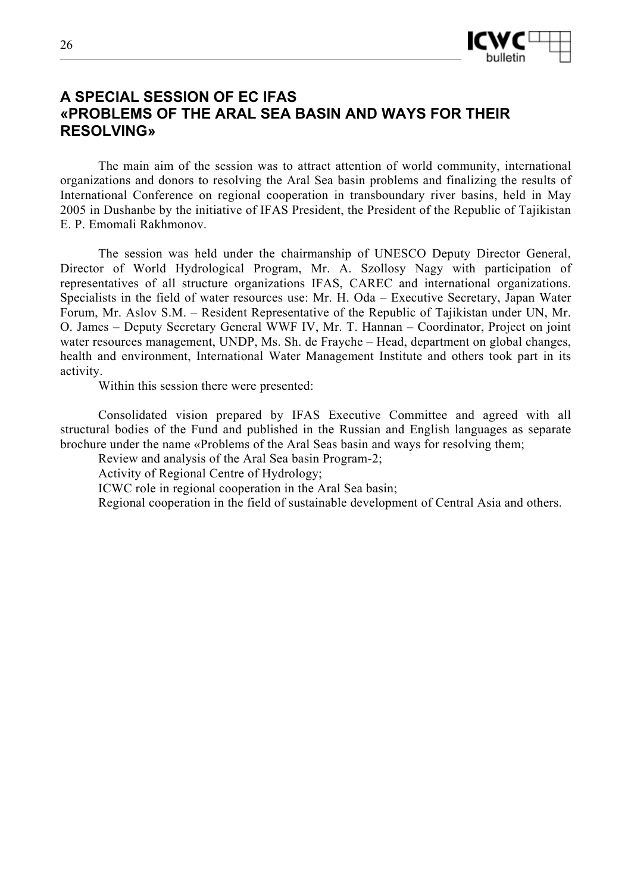

# **A SPECIAL SESSION OF EC IFAS «PROBLEMS OF THE ARAL SEA BASIN AND WAYS FOR THEIR RESOLVING»**

The main aim of the session was to attract attention of world community, international organizations and donors to resolving the Aral Sea basin problems and finalizing the results of International Conference on regional cooperation in transboundary river basins, held in May 2005 in Dushanbe by the initiative of IFAS President, the President of the Republic of Tajikistan Е. P. Emomali Rakhmonov.

The session was held under the chairmanship of UNESCO Deputy Director General, Director of World Hydrological Program, Mr. А. Szollosy Nagy with participation of representatives of all structure organizations IFAS, CAREC and international organizations. Specialists in the field of water resources use: Mr. H. Oda – Executive Secretary, Japan Water Forum, Mr. Aslov S.M. – Resident Representative of the Republic of Tajikistan under UN, Mr. O. James – Deputy Secretary General WWF IV, Mr. T. Hannan – Coordinator, Project on joint water resources management, UNDP, Ms. Sh. de Frayche – Head, department on global changes, health and environment, International Water Management Institute and others took part in its activity.

Within this session there were presented:

Consolidated vision prepared by IFAS Executive Committee and agreed with all structural bodies of the Fund and published in the Russian and English languages as separate brochure under the name «Problems of the Aral Seas basin and ways for resolving them;

Review and analysis of the Aral Sea basin Program-2;

Activity of Regional Centre of Hydrology;

ICWC role in regional cooperation in the Aral Sea basin;

Regional cooperation in the field of sustainable development of Central Asia and others.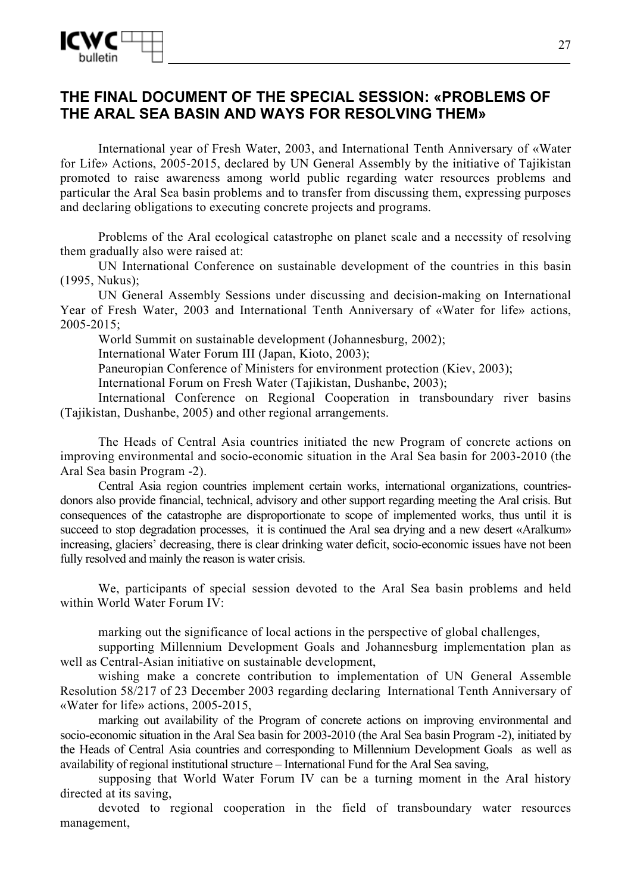

## **THE FINAL DOCUMENT OF THE SPECIAL SESSION: «PROBLEMS OF THE ARAL SEA BASIN AND WAYS FOR RESOLVING THEM»**

International year of Fresh Water, 2003, and International Tenth Anniversary of «Water for Life» Actions, 2005-2015, declared by UN General Assembly by the initiative of Tajikistan promoted to raise awareness among world public regarding water resources problems and particular the Aral Sea basin problems and to transfer from discussing them, expressing purposes and declaring obligations to executing concrete projects and programs.

Problems of the Aral ecological catastrophe on planet scale and a necessity of resolving them gradually also were raised at:

UN International Conference on sustainable development of the countries in this basin (1995, Nukus);

UN General Assembly Sessions under discussing and decision-making on International Year of Fresh Water, 2003 and International Tenth Anniversary of «Water for life» actions, 2005-2015;

World Summit on sustainable development (Johannesburg, 2002);

International Water Forum III (Japan, Kioto, 2003);

Paneuropian Conference of Ministers for environment protection (Kiev, 2003);

International Forum on Fresh Water (Tajikistan, Dushanbe, 2003);

International Conference on Regional Cooperation in transboundary river basins (Tajikistan, Dushanbe, 2005) and other regional arrangements.

The Heads of Central Asia countries initiated the new Program of concrete actions on improving environmental and socio-economic situation in the Aral Sea basin for 2003-2010 (the Aral Sea basin Program -2).

Central Asia region countries implement certain works, international organizations, countriesdonors also provide financial, technical, advisory and other support regarding meeting the Aral crisis. But consequences of the catastrophe are disproportionate to scope of implemented works, thus until it is succeed to stop degradation processes, it is continued the Aral sea drying and a new desert «Aralkum» increasing, glaciers' decreasing, there is clear drinking water deficit, socio-economic issues have not been fully resolved and mainly the reason is water crisis.

We, participants of special session devoted to the Aral Sea basin problems and held within World Water Forum IV:

marking out the significance of local actions in the perspective of global challenges,

supporting Millennium Development Goals and Johannesburg implementation plan as well as Central-Asian initiative on sustainable development,

wishing make a concrete contribution to implementation of UN General Assemble Resolution 58/217 of 23 December 2003 regarding declaring International Tenth Anniversary of «Water for life» actions, 2005-2015,

marking out availability of the Program of concrete actions on improving environmental and socio-economic situation in the Aral Sea basin for 2003-2010 (the Aral Sea basin Program -2), initiated by the Heads of Central Asia countries and corresponding to Millennium Development Goals as well as availability of regional institutional structure – International Fund for the Aral Sea saving,

supposing that World Water Forum IV can be a turning moment in the Aral history directed at its saving,

devoted to regional cooperation in the field of transboundary water resources management,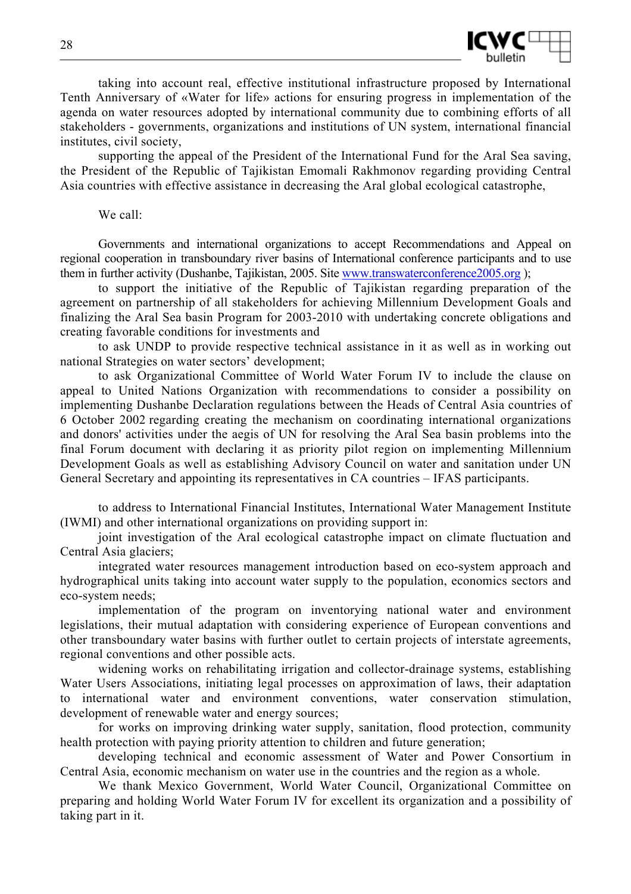

taking into account real, effective institutional infrastructure proposed by International Tenth Anniversary of «Water for life» actions for ensuring progress in implementation of the agenda on water resources adopted by international community due to combining efforts of all stakeholders - governments, organizations and institutions of UN system, international financial institutes, civil society,

supporting the appeal of the President of the International Fund for the Aral Sea saving, the President of the Republic of Tajikistan Emomali Rakhmonov regarding providing Central Asia countries with effective assistance in decreasing the Aral global ecological catastrophe,

We call:

Governments and international organizations to accept Recommendations and Appeal on regional cooperation in transboundary river basins of International conference participants and to use them in further activity (Dushanbe, Tajikistan, 2005. Site www.transwaterconference2005.org);

to support the initiative of the Republic of Tajikistan regarding preparation of the agreement on partnership of all stakeholders for achieving Millennium Development Goals and finalizing the Aral Sea basin Program for 2003-2010 with undertaking concrete obligations and creating favorable conditions for investments and

to ask UNDP to provide respective technical assistance in it as well as in working out national Strategies on water sectors' development;

to ask Organizational Committee of World Water Forum IV to include the clause on appeal to United Nations Organization with recommendations to consider a possibility on implementing Dushanbe Declaration regulations between the Heads of Central Asia countries of 6 October 2002 regarding creating the mechanism on coordinating international organizations and donors' activities under the aegis of UN for resolving the Aral Sea basin problems into the final Forum document with declaring it as priority pilot region on implementing Millennium Development Goals as well as establishing Advisory Council on water and sanitation under UN General Secretary and appointing its representatives in CA countries – IFAS participants.

to address to International Financial Institutes, International Water Management Institute (IWMI) and other international organizations on providing support in:

joint investigation of the Aral ecological catastrophe impact on climate fluctuation and Central Asia glaciers;

integrated water resources management introduction based on eco-system approach and hydrographical units taking into account water supply to the population, economics sectors and eco-system needs;

implementation of the program on inventorying national water and environment legislations, their mutual adaptation with considering experience of European conventions and other transboundary water basins with further outlet to certain projects of interstate agreements, regional conventions and other possible acts.

widening works on rehabilitating irrigation and collector-drainage systems, establishing Water Users Associations, initiating legal processes on approximation of laws, their adaptation to international water and environment conventions, water conservation stimulation, development of renewable water and energy sources;

for works on improving drinking water supply, sanitation, flood protection, community health protection with paying priority attention to children and future generation;

developing technical and economic assessment of Water and Power Consortium in Central Asia, economic mechanism on water use in the countries and the region as a whole.

We thank Mexico Government, World Water Council, Organizational Committee on preparing and holding World Water Forum IV for excellent its organization and a possibility of taking part in it.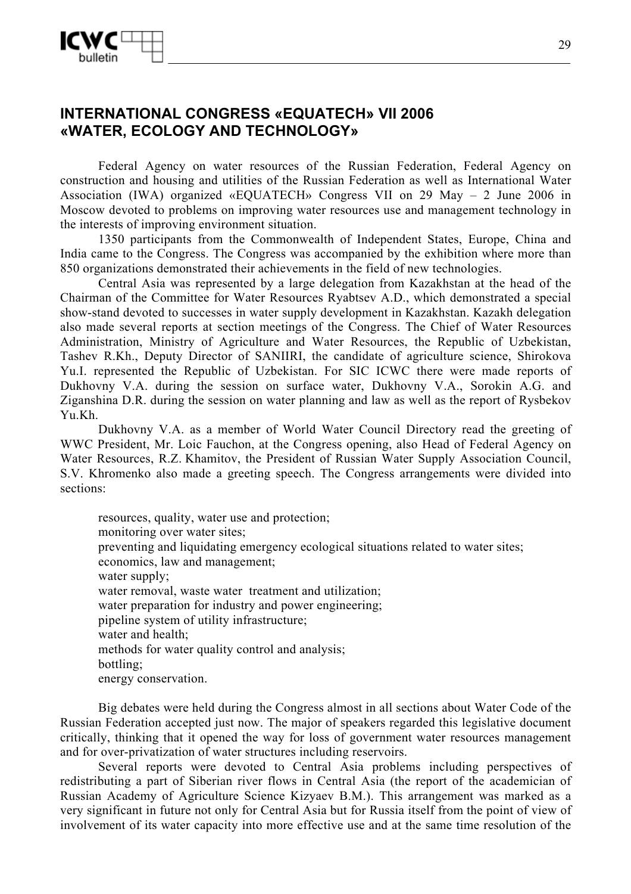

# **INTERNATIONAL CONGRESS «EQUATECH» VII 2006 «WATER, ECOLOGY AND TECHNOLOGY»**

Federal Agency on water resources of the Russian Federation, Federal Agency on construction and housing and utilities of the Russian Federation as well as International Water Association (IWA) organized «EQUATECH» Congress VII on 29 May – 2 June 2006 in Moscow devoted to problems on improving water resources use and management technology in the interests of improving environment situation.

1350 participants from the Commonwealth of Independent States, Europe, China and India came to the Congress. The Congress was accompanied by the exhibition where more than 850 organizations demonstrated their achievements in the field of new technologies.

Central Asia was represented by a large delegation from Kazakhstan at the head of the Chairman of the Committee for Water Resources Ryabtsev A.D., which demonstrated a special show-stand devoted to successes in water supply development in Kazakhstan. Kazakh delegation also made several reports at section meetings of the Congress. The Chief of Water Resources Administration, Ministry of Agriculture and Water Resources, the Republic of Uzbekistan, Tashev R.Kh., Deputy Director of SANIIRI, the candidate of agriculture science, Shirokova Yu.I. represented the Republic of Uzbekistan. For SIC ICWC there were made reports of Dukhovny V.A. during the session on surface water, Dukhovny V.A., Sorokin A.G. and Ziganshina D.R. during the session on water planning and law as well as the report of Rysbekov Yu.Kh.

Dukhovny V.A. as a member of World Water Council Directory read the greeting of WWC President, Mr. Loic Fauchon, at the Congress opening, also Head of Federal Agency on Water Resources, R.Z. Khamitov, the President of Russian Water Supply Association Council, S.V. Khromenko also made a greeting speech. The Congress arrangements were divided into sections:

resources, quality, water use and protection; monitoring over water sites; preventing and liquidating emergency ecological situations related to water sites; economics, law and management; water supply; water removal, waste water treatment and utilization; water preparation for industry and power engineering; pipeline system of utility infrastructure; water and health; methods for water quality control and analysis; bottling; energy conservation.

Big debates were held during the Congress almost in all sections about Water Code of the Russian Federation accepted just now. The major of speakers regarded this legislative document critically, thinking that it opened the way for loss of government water resources management and for over-privatization of water structures including reservoirs.

Several reports were devoted to Central Asia problems including perspectives of redistributing a part of Siberian river flows in Central Asia (the report of the academician of Russian Academy of Agriculture Science Kizyaev B.M.). This arrangement was marked as a very significant in future not only for Central Asia but for Russia itself from the point of view of involvement of its water capacity into more effective use and at the same time resolution of the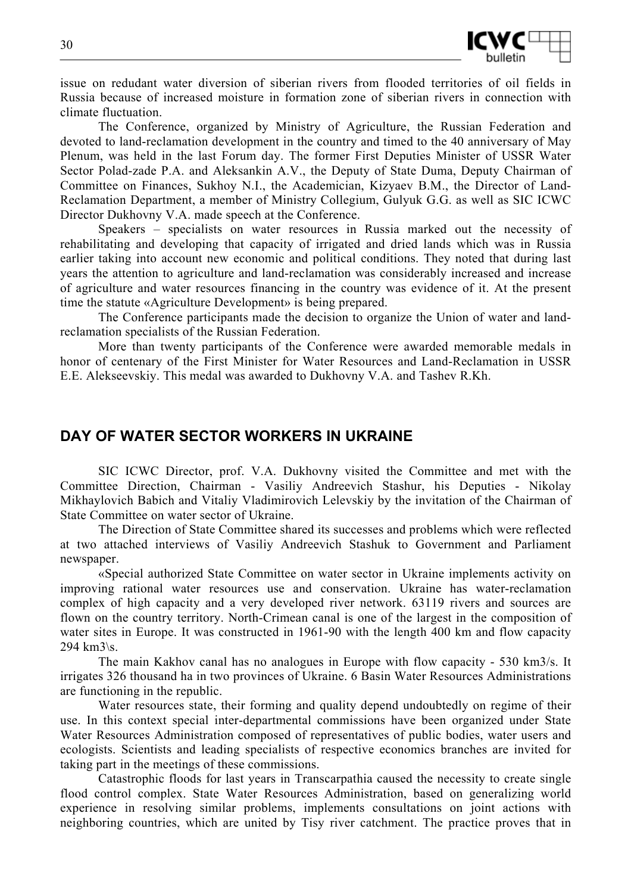

issue on redudant water diversion of siberian rivers from flooded territories of oil fields in Russia because of increased moisture in formation zone of siberian rivers in connection with climate fluctuation.

The Conference, organized by Ministry of Agriculture, the Russian Federation and devoted to land-reclamation development in the country and timed to the 40 anniversary of May Plenum, was held in the last Forum day. The former First Deputies Minister of USSR Water Sector Polad-zade P.A. and Aleksankin A.V., the Deputy of State Duma, Deputy Chairman of Committee on Finances, Sukhoy N.I., the Academician, Kizyaev B.M., the Director of Land-Reclamation Department, a member of Ministry Collegium, Gulyuk G.G. as well as SIC ICWC Director Dukhovny V.A. made speech at the Conference.

Speakers – specialists on water resources in Russia marked out the necessity of rehabilitating and developing that capacity of irrigated and dried lands which was in Russia earlier taking into account new economic and political conditions. They noted that during last years the attention to agriculture and land-reclamation was considerably increased and increase of agriculture and water resources financing in the country was evidence of it. At the present time the statute «Agriculture Development» is being prepared.

The Conference participants made the decision to organize the Union of water and landreclamation specialists of the Russian Federation.

More than twenty participants of the Conference were awarded memorable medals in honor of centenary of the First Minister for Water Resources and Land-Reclamation in USSR E.E. Alekseevskiy. This medal was awarded to Dukhovny V.A. and Tashev R.Kh.

## **DAY OF WATER SECTOR WORKERS IN UKRAINE**

SIC ICWC Director, prof. V.A. Dukhovny visited the Committee and met with the Committee Direction, Chairman - Vasiliy Andreevich Stashur, his Deputies - Nikolay Mikhaylovich Babich and Vitaliy Vladimirovich Lelevskiy by the invitation of the Chairman of State Committee on water sector of Ukraine.

The Direction of State Committee shared its successes and problems which were reflected at two attached interviews of Vasiliy Andreevich Stashuk to Government and Parliament newspaper.

«Special authorized State Committee on water sector in Ukraine implements activity on improving rational water resources use and conservation. Ukraine has water-reclamation complex of high capacity and a very developed river network. 63119 rivers and sources are flown on the country territory. North-Crimean canal is one of the largest in the composition of water sites in Europe. It was constructed in 1961-90 with the length 400 km and flow capacity  $294 \text{ km}$ 3\s.

The main Kakhov canal has no analogues in Europe with flow capacity - 530 km3/s. It irrigates 326 thousand ha in two provinces of Ukraine. 6 Basin Water Resources Administrations are functioning in the republic.

Water resources state, their forming and quality depend undoubtedly on regime of their use. In this context special inter-departmental commissions have been organized under State Water Resources Administration composed of representatives of public bodies, water users and ecologists. Scientists and leading specialists of respective economics branches are invited for taking part in the meetings of these commissions.

Catastrophic floods for last years in Transcarpathia caused the necessity to create single flood control complex. State Water Resources Administration, based on generalizing world experience in resolving similar problems, implements consultations on joint actions with neighboring countries, which are united by Tisy river catchment. The practice proves that in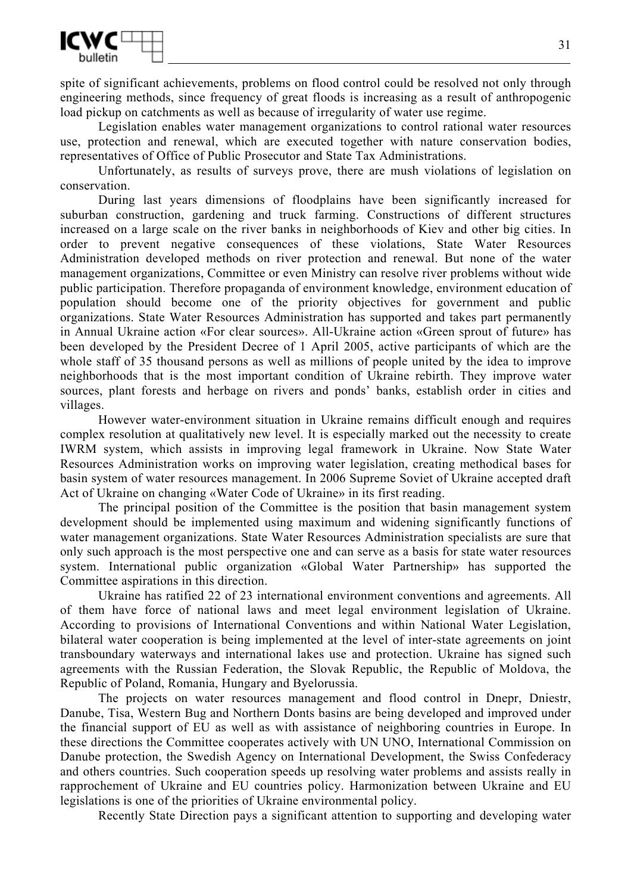

spite of significant achievements, problems on flood control could be resolved not only through engineering methods, since frequency of great floods is increasing as a result of anthropogenic load pickup on catchments as well as because of irregularity of water use regime.

Legislation enables water management organizations to control rational water resources use, protection and renewal, which are executed together with nature conservation bodies, representatives of Office of Public Prosecutor and State Tax Administrations.

Unfortunately, as results of surveys prove, there are mush violations of legislation on conservation.

During last years dimensions of floodplains have been significantly increased for suburban construction, gardening and truck farming. Constructions of different structures increased on a large scale on the river banks in neighborhoods of Kiev and other big cities. In order to prevent negative consequences of these violations, State Water Resources Administration developed methods on river protection and renewal. But none of the water management organizations, Committee or even Ministry can resolve river problems without wide public participation. Therefore propaganda of environment knowledge, environment education of population should become one of the priority objectives for government and public organizations. State Water Resources Administration has supported and takes part permanently in Annual Ukraine action «For clear sources». All-Ukraine action «Green sprout of future» has been developed by the President Decree of 1 April 2005, active participants of which are the whole staff of 35 thousand persons as well as millions of people united by the idea to improve neighborhoods that is the most important condition of Ukraine rebirth. They improve water sources, plant forests and herbage on rivers and ponds' banks, establish order in cities and villages.

However water-environment situation in Ukraine remains difficult enough and requires complex resolution at qualitatively new level. It is especially marked out the necessity to create IWRM system, which assists in improving legal framework in Ukraine. Now State Water Resources Administration works on improving water legislation, creating methodical bases for basin system of water resources management. In 2006 Supreme Soviet of Ukraine accepted draft Act of Ukraine on changing «Water Code of Ukraine» in its first reading.

The principal position of the Committee is the position that basin management system development should be implemented using maximum and widening significantly functions of water management organizations. State Water Resources Administration specialists are sure that only such approach is the most perspective one and can serve as a basis for state water resources system. International public organization «Global Water Partnership» has supported the Committee aspirations in this direction.

Ukraine has ratified 22 of 23 international environment conventions and agreements. All of them have force of national laws and meet legal environment legislation of Ukraine. According to provisions of International Conventions and within National Water Legislation, bilateral water cooperation is being implemented at the level of inter-state agreements on joint transboundary waterways and international lakes use and protection. Ukraine has signed such agreements with the Russian Federation, the Slovak Republic, the Republic of Moldova, the Republic of Poland, Romania, Hungary and Byelorussia.

The projects on water resources management and flood control in Dnepr, Dniestr, Danube, Tisa, Western Bug and Northern Donts basins are being developed and improved under the financial support of EU as well as with assistance of neighboring countries in Europe. In these directions the Committee cooperates actively with UN UNO, International Commission on Danube protection, the Swedish Agency on International Development, the Swiss Confederacy and others countries. Such cooperation speeds up resolving water problems and assists really in rapprochement of Ukraine and EU countries policy. Harmonization between Ukraine and EU legislations is one of the priorities of Ukraine environmental policy.

Recently State Direction pays a significant attention to supporting and developing water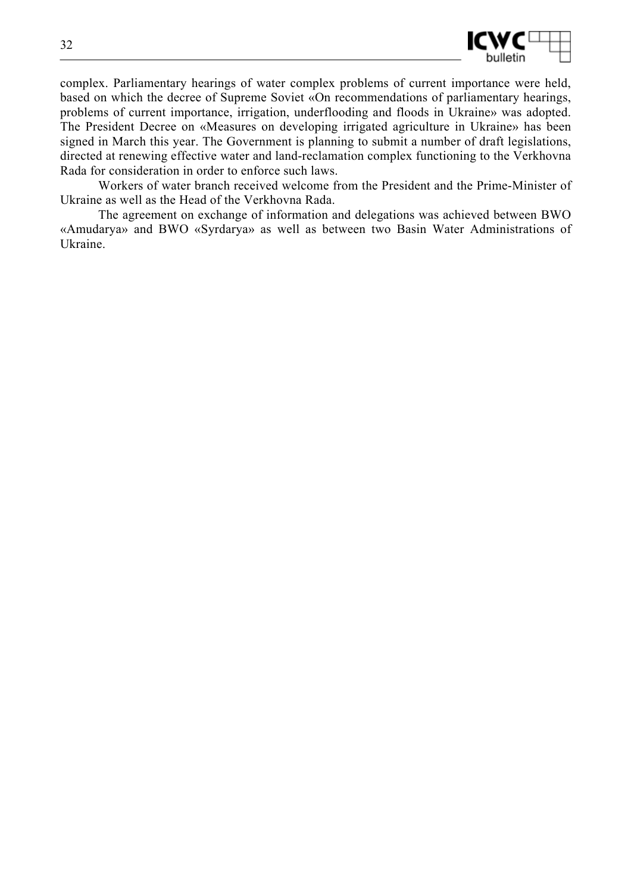

complex. Parliamentary hearings of water complex problems of current importance were held, based on which the decree of Supreme Soviet «On recommendations of parliamentary hearings, problems of current importance, irrigation, underflooding and floods in Ukraine» was adopted. The President Decree on «Measures on developing irrigated agriculture in Ukraine» has been signed in March this year. The Government is planning to submit a number of draft legislations, directed at renewing effective water and land-reclamation complex functioning to the Verkhovna Rada for consideration in order to enforce such laws.

Workers of water branch received welcome from the President and the Prime-Minister of Ukraine as well as the Head of the Verkhovna Rada.

The agreement on exchange of information and delegations was achieved between BWO «Amudarya» and BWO «Syrdarya» as well as between two Basin Water Administrations of Ukraine.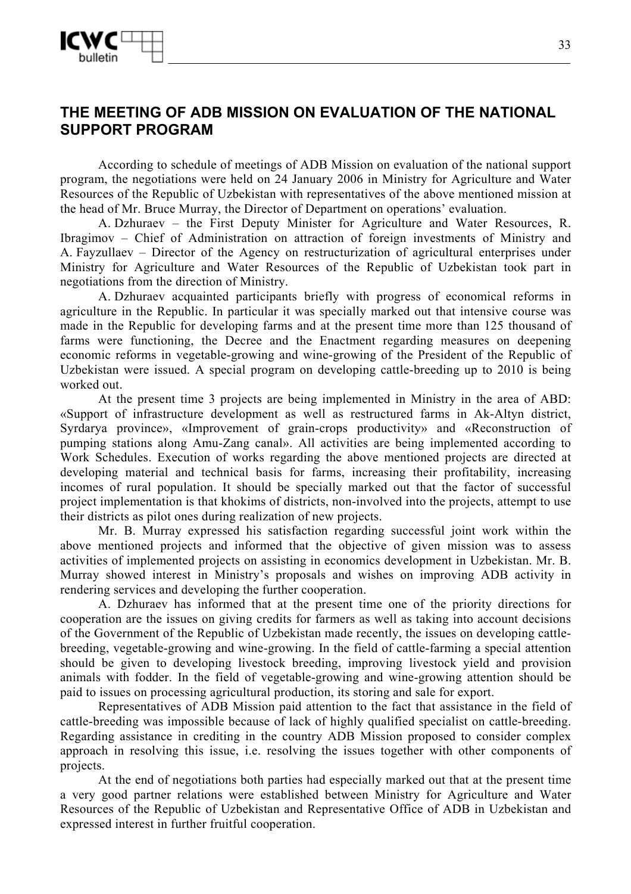

# **THE MEETING OF ADB MISSION ON EVALUATION OF THE NATIONAL SUPPORT PROGRAM**

According to schedule of meetings of ADB Mission on evaluation of the national support program, the negotiations were held on 24 January 2006 in Ministry for Agriculture and Water Resources of the Republic of Uzbekistan with representatives of the above mentioned mission at the head of Mr. Bruce Murray, the Director of Department on operations' evaluation.

A. Dzhuraev – the First Deputy Minister for Agriculture and Water Resources, R. Ibragimov – Chief of Administration on attraction of foreign investments of Ministry and A. Fayzullaev – Director of the Agency on restructurization of agricultural enterprises under Ministry for Agriculture and Water Resources of the Republic of Uzbekistan took part in negotiations from the direction of Ministry.

A. Dzhuraev acquainted participants briefly with progress of economical reforms in agriculture in the Republic. In particular it was specially marked out that intensive course was made in the Republic for developing farms and at the present time more than 125 thousand of farms were functioning, the Decree and the Enactment regarding measures on deepening economic reforms in vegetable-growing and wine-growing of the President of the Republic of Uzbekistan were issued. A special program on developing cattle-breeding up to 2010 is being worked out.

At the present time 3 projects are being implemented in Ministry in the area of ABD: «Support of infrastructure development as well as restructured farms in Ak-Altyn district, Syrdarya province», «Improvement of grain-crops productivity» and «Reconstruction of pumping stations along Amu-Zang canal». All activities are being implemented according to Work Schedules. Execution of works regarding the above mentioned projects are directed at developing material and technical basis for farms, increasing their profitability, increasing incomes of rural population. It should be specially marked out that the factor of successful project implementation is that khokims of districts, non-involved into the projects, attempt to use their districts as pilot ones during realization of new projects.

Mr. B. Murray expressed his satisfaction regarding successful joint work within the above mentioned projects and informed that the objective of given mission was to assess activities of implemented projects on assisting in economics development in Uzbekistan. Mr. B. Murray showed interest in Ministry's proposals and wishes on improving ADB activity in rendering services and developing the further cooperation.

A. Dzhuraev has informed that at the present time one of the priority directions for cooperation are the issues on giving credits for farmers as well as taking into account decisions of the Government of the Republic of Uzbekistan made recently, the issues on developing cattlebreeding, vegetable-growing and wine-growing. In the field of cattle-farming a special attention should be given to developing livestock breeding, improving livestock yield and provision animals with fodder. In the field of vegetable-growing and wine-growing attention should be paid to issues on processing agricultural production, its storing and sale for export.

Representatives of ADB Mission paid attention to the fact that assistance in the field of cattle-breeding was impossible because of lack of highly qualified specialist on cattle-breeding. Regarding assistance in crediting in the country ADB Mission proposed to consider complex approach in resolving this issue, i.e. resolving the issues together with other components of projects.

At the end of negotiations both parties had especially marked out that at the present time a very good partner relations were established between Ministry for Agriculture and Water Resources of the Republic of Uzbekistan and Representative Office of ADB in Uzbekistan and expressed interest in further fruitful cooperation.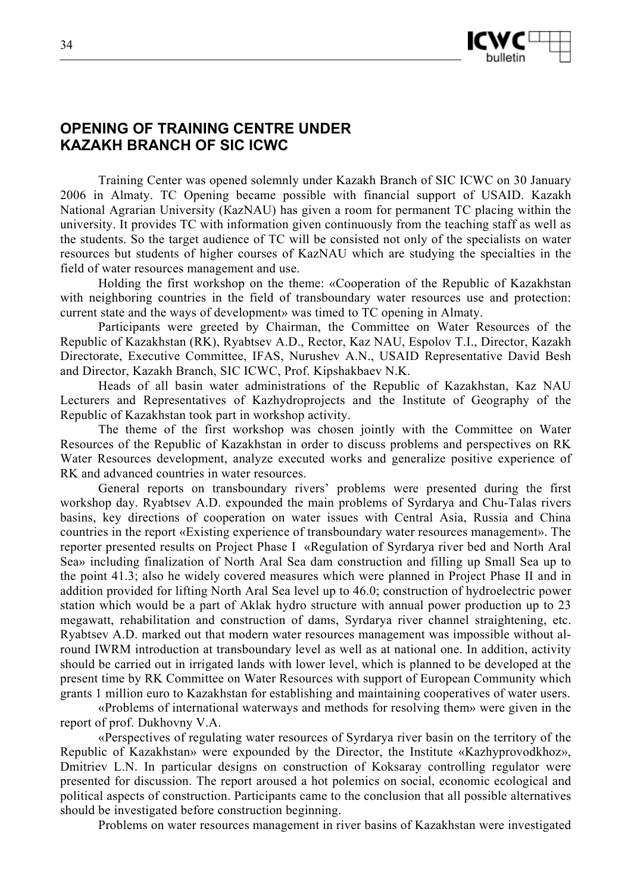

# **OPENING OF TRAINING CENTRE UNDER KAZAKH BRANCH OF SIC ICWC**

Training Center was opened solemnly under Kazakh Branch of SIC ICWC on 30 January 2006 in Almaty. TC Opening became possible with financial support of USAID. Kazakh National Agrarian University (КazNAU) has given a room for permanent TC placing within the university. It provides TC with information given continuously from the teaching staff as well as the students. So the target audience of TC will be consisted not only of the specialists on water resources but students of higher courses of KazNAU which are studying the specialties in the field of water resources management and use.

Holding the first workshop on the theme: «Cooperation of the Republic of Kazakhstan with neighboring countries in the field of transboundary water resources use and protection: current state and the ways of development» was timed to TC opening in Almaty.

Participants were greeted by Chairman, the Committee on Water Resources of the Republic of Kazakhstan (RK), Ryabtsev A.D., Rector, Kaz NAU, Espolov T.I., Director, Kazakh Directorate, Executive Committee, IFAS, Nurushev A.N., USAID Representative David Besh and Director, Kazakh Branch, SIC ICWC, Prof. Kipshakbaev N.K.

Heads of all basin water administrations of the Republic of Kazakhstan, Kaz NAU Lecturers and Representatives of Kazhydroprojects and the Institute of Geography of the Republic of Kazakhstan took part in workshop activity.

The theme of the first workshop was chosen jointly with the Committee on Water Resources of the Republic of Kazakhstan in order to discuss problems and perspectives on RK Water Resources development, analyze executed works and generalize positive experience of RK and advanced countries in water resources.

General reports on transboundary rivers' problems were presented during the first workshop day. Ryabtsev A.D. expounded the main problems of Syrdarya and Chu-Talas rivers basins, key directions of cooperation on water issues with Central Asia, Russia and China countries in the report «Existing experience of transboundary water resources management». The reporter presented results on Project Phase I «Regulation of Syrdarya river bed and North Aral Sea» including finalization of North Aral Sea dam construction and filling up Small Sea up to the point 41.3; also he widely covered measures which were planned in Project Phase II and in addition provided for lifting North Aral Sea level up to 46.0; construction of hydroelectric power station which would be a part of Aklak hydro structure with annual power production up to 23 megawatt, rehabilitation and construction of dams, Syrdarya river channel straightening, etc. Ryabtsev A.D. marked out that modern water resources management was impossible without alround IWRM introduction at transboundary level as well as at national one. In addition, activity should be carried out in irrigated lands with lower level, which is planned to be developed at the present time by RK Committee on Water Resources with support of European Community which grants 1 million euro to Kazakhstan for establishing and maintaining cooperatives of water users.

«Problems of international waterways and methods for resolving them» were given in the report of prof. Dukhovny V.A.

«Perspectives of regulating water resources of Syrdarya river basin on the territory of the Republic of Kazakhstan» were expounded by the Director, the Institute «Kazhyprovodkhoz», Dmitriev L.N. In particular designs on construction of Koksaray controlling regulator were presented for discussion. The report aroused a hot polemics on social, economic ecological and political aspects of construction. Participants came to the conclusion that all possible alternatives should be investigated before construction beginning.

Problems on water resources management in river basins of Kazakhstan were investigated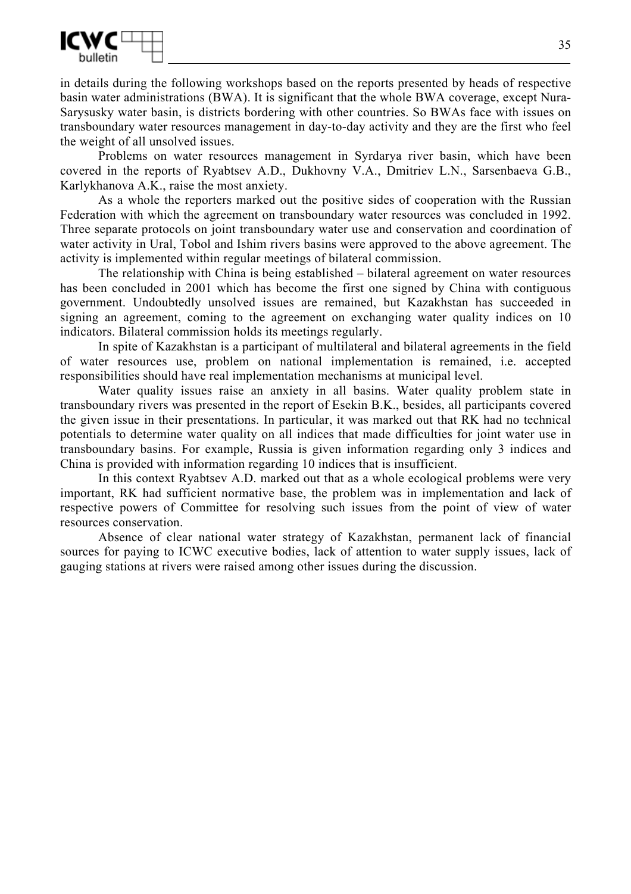

in details during the following workshops based on the reports presented by heads of respective basin water administrations (BWA). It is significant that the whole BWA coverage, except Nura-Sarysusky water basin, is districts bordering with other countries. So BWAs face with issues on transboundary water resources management in day-to-day activity and they are the first who feel the weight of all unsolved issues.

Problems on water resources management in Syrdarya river basin, which have been covered in the reports of Ryabtsev A.D., Dukhovny V.A., Dmitriev L.N., Sarsenbaeva G.B., Karlykhanova A.K., raise the most anxiety.

As a whole the reporters marked out the positive sides of cooperation with the Russian Federation with which the agreement on transboundary water resources was concluded in 1992. Three separate protocols on joint transboundary water use and conservation and coordination of water activity in Ural, Tobol and Ishim rivers basins were approved to the above agreement. The activity is implemented within regular meetings of bilateral commission.

The relationship with China is being established – bilateral agreement on water resources has been concluded in 2001 which has become the first one signed by China with contiguous government. Undoubtedly unsolved issues are remained, but Kazakhstan has succeeded in signing an agreement, coming to the agreement on exchanging water quality indices on 10 indicators. Bilateral commission holds its meetings regularly.

In spite of Kazakhstan is a participant of multilateral and bilateral agreements in the field of water resources use, problem on national implementation is remained, i.e. accepted responsibilities should have real implementation mechanisms at municipal level.

Water quality issues raise an anxiety in all basins. Water quality problem state in transboundary rivers was presented in the report of Esekin B.K., besides, all participants covered the given issue in their presentations. In particular, it was marked out that RK had no technical potentials to determine water quality on all indices that made difficulties for joint water use in transboundary basins. For example, Russia is given information regarding only 3 indices and China is provided with information regarding 10 indices that is insufficient.

In this context Ryabtsev A.D. marked out that as a whole ecological problems were very important, RK had sufficient normative base, the problem was in implementation and lack of respective powers of Committee for resolving such issues from the point of view of water resources conservation.

Absence of clear national water strategy of Kazakhstan, permanent lack of financial sources for paying to ICWC executive bodies, lack of attention to water supply issues, lack of gauging stations at rivers were raised among other issues during the discussion.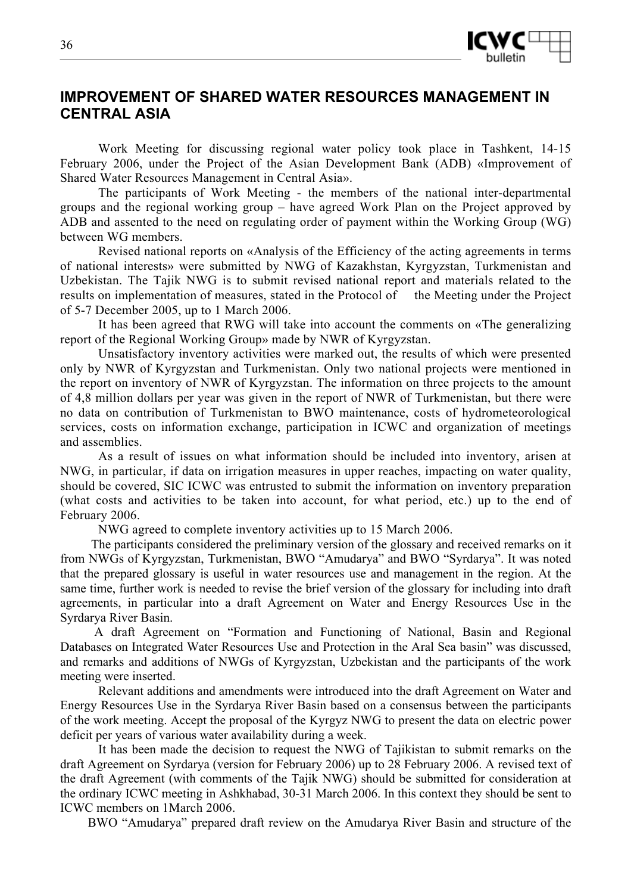

# **IMPROVEMENT OF SHARED WATER RESOURCES MANAGEMENT IN CENTRAL ASIA**

Work Meeting for discussing regional water policy took place in Tashkent, 14-15 February 2006, under the Project of the Asian Development Bank (ADB) «Improvement of Shared Water Resources Management in Central Asia».

The participants of Work Meeting - the members of the national inter-departmental groups and the regional working group – have agreed Work Plan on the Project approved by ADB and assented to the need on regulating order of payment within the Working Group (WG) between WG members.

Revised national reports on «Analysis of the Efficiency of the acting agreements in terms of national interests» were submitted by NWG of Kazakhstan, Kyrgyzstan, Turkmenistan and Uzbekistan. The Tajik NWG is to submit revised national report and materials related to the results on implementation of measures, stated in the Protocol of the Meeting under the Project of 5-7 December 2005, up to 1 March 2006.

It has been agreed that RWG will take into account the comments on «The generalizing report of the Regional Working Group» made by NWR of Kyrgyzstan.

Unsatisfactory inventory activities were marked out, the results of which were presented only by NWR of Kyrgyzstan and Turkmenistan. Only two national projects were mentioned in the report on inventory of NWR of Kyrgyzstan. The information on three projects to the amount of 4,8 million dollars per year was given in the report of NWR of Turkmenistan, but there were no data on contribution of Turkmenistan to BWO maintenance, costs of hydrometeorological services, costs on information exchange, participation in ICWC and organization of meetings and assemblies.

As a result of issues on what information should be included into inventory, arisen at NWG, in particular, if data on irrigation measures in upper reaches, impacting on water quality, should be covered, SIC ICWC was entrusted to submit the information on inventory preparation (what costs and activities to be taken into account, for what period, etc.) up to the end of February 2006.

NWG agreed to complete inventory activities up to 15 March 2006.

 The participants considered the preliminary version of the glossary and received remarks on it from NWGs of Kyrgyzstan, Turkmenistan, BWO "Amudarya" and BWO "Syrdarya". It was noted that the prepared glossary is useful in water resources use and management in the region. At the same time, further work is needed to revise the brief version of the glossary for including into draft agreements, in particular into a draft Agreement on Water and Energy Resources Use in the Syrdarya River Basin.

 A draft Agreement on "Formation and Functioning of National, Basin and Regional Databases on Integrated Water Resources Use and Protection in the Aral Sea basin" was discussed, and remarks and additions of NWGs of Kyrgyzstan, Uzbekistan and the participants of the work meeting were inserted.

Relevant additions and amendments were introduced into the draft Agreement on Water and Energy Resources Use in the Syrdarya River Basin based on a consensus between the participants of the work meeting. Accept the proposal of the Kyrgyz NWG to present the data on electric power deficit per years of various water availability during a week.

It has been made the decision to request the NWG of Tajikistan to submit remarks on the draft Agreement on Syrdarya (version for February 2006) up to 28 February 2006. A revised text of the draft Agreement (with comments of the Tajik NWG) should be submitted for consideration at the ordinary ICWC meeting in Ashkhabad, 30-31 March 2006. In this context they should be sent to ICWC members on 1March 2006.

BWO "Amudarya" prepared draft review on the Amudarya River Basin and structure of the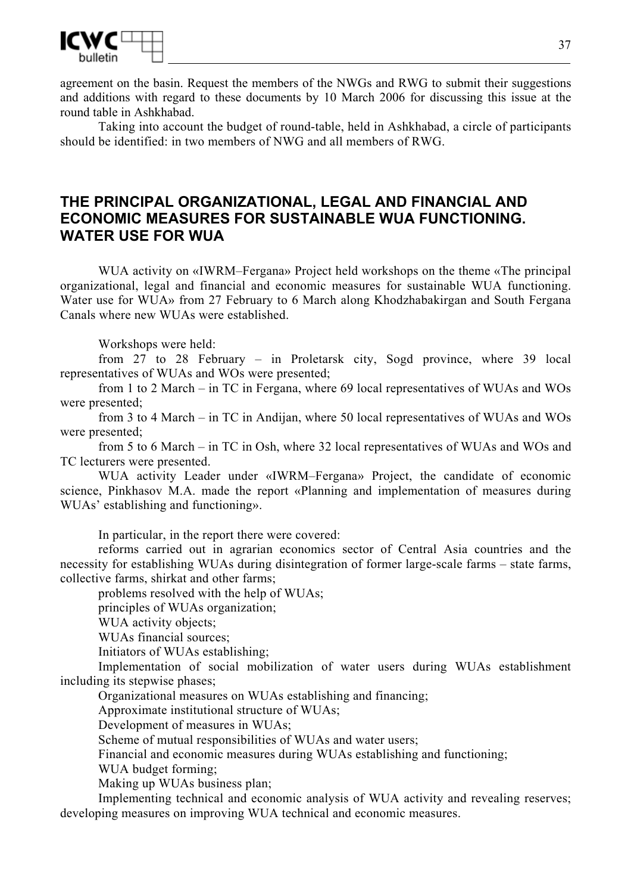

agreement on the basin. Request the members of the NWGs and RWG to submit their suggestions and additions with regard to these documents by 10 March 2006 for discussing this issue at the round table in Ashkhabad.

Taking into account the budget of round-table, held in Ashkhabad, a circle of participants should be identified: in two members of NWG and all members of RWG.

# **THE PRINCIPAL ORGANIZATIONAL, LEGAL AND FINANCIAL AND ECONOMIC MEASURES FOR SUSTAINABLE WUA FUNCTIONING. WATER USE FOR WUA**

WUA activity on «IWRM–Fergana» Project held workshops on the theme «The principal organizational, legal and financial and economic measures for sustainable WUA functioning. Water use for WUA» from 27 February to 6 March along Khodzhabakirgan and South Fergana Canals where new WUAs were established.

Workshops were held:

from 27 to 28 February – in Proletarsk city, Sogd province, where 39 local representatives of WUAs and WOs were presented;

from 1 to 2 March – in TC in Fergana, where 69 local representatives of WUAs and WOs were presented;

from 3 to 4 March – in TC in Andijan, where 50 local representatives of WUAs and WOs were presented;

from 5 to 6 March – in TC in Osh, where 32 local representatives of WUAs and WOs and TC lecturers were presented.

WUA activity Leader under «IWRM–Fergana» Project, the candidate of economic science, Pinkhasov M.A. made the report «Planning and implementation of measures during WUAs' establishing and functioning».

In particular, in the report there were covered:

reforms carried out in agrarian economics sector of Central Asia countries and the necessity for establishing WUAs during disintegration of former large-scale farms – state farms, collective farms, shirkat and other farms;

problems resolved with the help of WUAs;

principles of WUAs organization;

WUA activity objects;

WUAs financial sources;

Initiators of WUAs establishing;

Implementation of social mobilization of water users during WUAs establishment including its stepwise phases;

Organizational measures on WUAs establishing and financing;

Approximate institutional structure of WUAs;

Development of measures in WUAs;

Scheme of mutual responsibilities of WUAs and water users;

Financial and economic measures during WUAs establishing and functioning;

WUA budget forming;

Making up WUAs business plan;

Implementing technical and economic analysis of WUA activity and revealing reserves; developing measures on improving WUA technical and economic measures.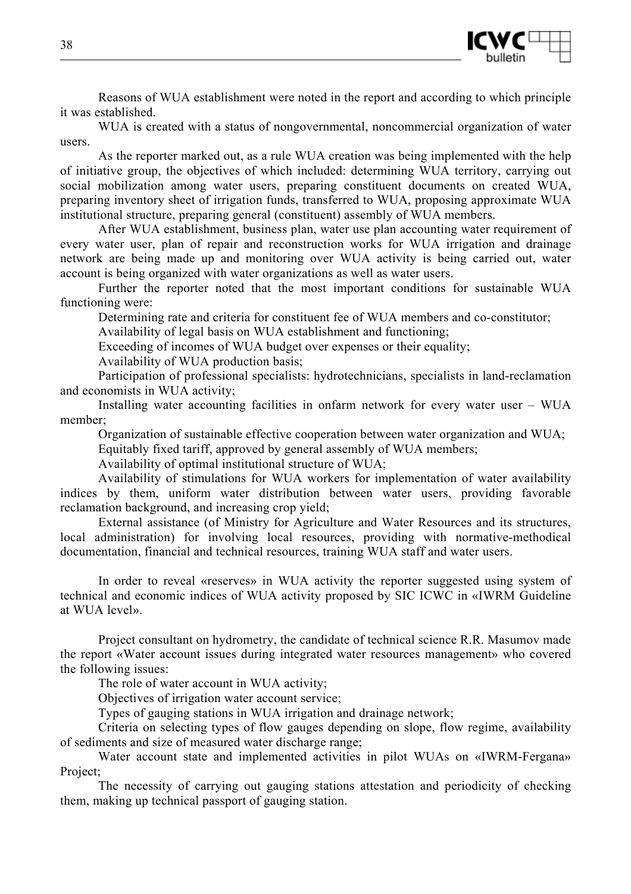

Reasons of WUA establishment were noted in the report and according to which principle it was established.

WUA is created with a status of nongovernmental, noncommercial organization of water users.

As the reporter marked out, as a rule WUA creation was being implemented with the help of initiative group, the objectives of which included: determining WUA territory, carrying out social mobilization among water users, preparing constituent documents on created WUA, preparing inventory sheet of irrigation funds, transferred to WUA, proposing approximate WUA institutional structure, preparing general (constituent) assembly of WUA members.

After WUA establishment, business plan, water use plan accounting water requirement of every water user, plan of repair and reconstruction works for WUA irrigation and drainage network are being made up and monitoring over WUA activity is being carried out, water account is being organized with water organizations as well as water users.

Further the reporter noted that the most important conditions for sustainable WUA functioning were:

Determining rate and criteria for constituent fee of WUA members and co-constitutor;

Availability of legal basis on WUA establishment and functioning;

Exceeding of incomes of WUA budget over expenses or their equality;

Availability of WUA production basis;

Participation of professional specialists: hydrotechnicians, specialists in land-reclamation and economists in WUA activity;

Installing water accounting facilities in onfarm network for every water user – WUA member;

Organization of sustainable effective cooperation between water organization and WUA;

Equitably fixed tariff, approved by general assembly of WUA members;

Availability of optimal institutional structure of WUA;

Availability of stimulations for WUA workers for implementation of water availability indices by them, uniform water distribution between water users, providing favorable reclamation background, and increasing crop yield;

External assistance (of Ministry for Agriculture and Water Resources and its structures, local administration) for involving local resources, providing with normative-methodical documentation, financial and technical resources, training WUA staff and water users.

In order to reveal «reserves» in WUA activity the reporter suggested using system of technical and economic indices of WUA activity proposed by SIC ICWC in «IWRM Guideline at WUA level».

Project consultant on hydrometry, the candidate of technical science R.R. Masumov made the report «Water account issues during integrated water resources management» who covered the following issues:

The role of water account in WUA activity;

Objectives of irrigation water account service;

Types of gauging stations in WUA irrigation and drainage network;

Criteria on selecting types of flow gauges depending on slope, flow regime, availability of sediments and size of measured water discharge range;

Water account state and implemented activities in pilot WUAs on «IWRM-Fergana» Project:

The necessity of carrying out gauging stations attestation and periodicity of checking them, making up technical passport of gauging station.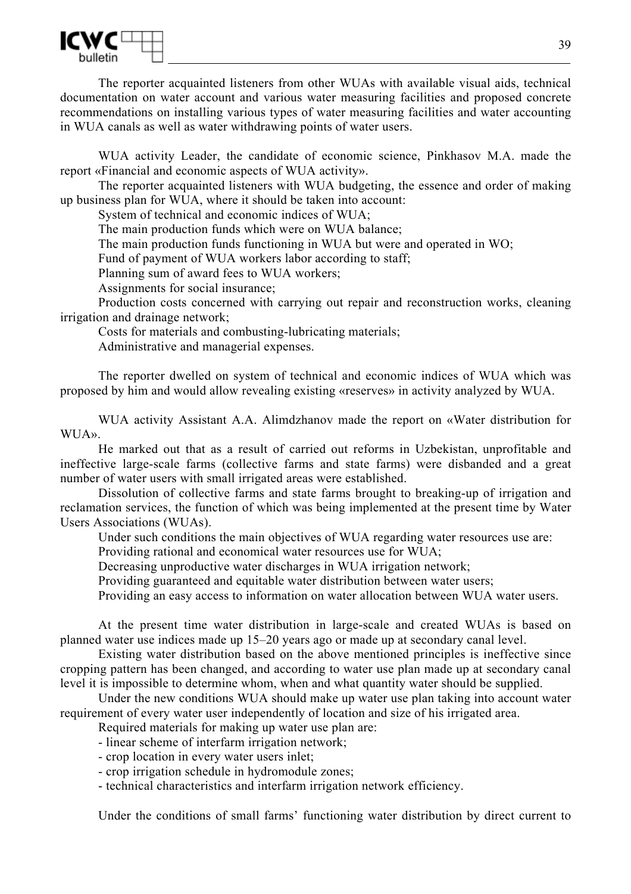

The reporter acquainted listeners from other WUAs with available visual aids, technical documentation on water account and various water measuring facilities and proposed concrete recommendations on installing various types of water measuring facilities and water accounting in WUA canals as well as water withdrawing points of water users.

WUA activity Leader, the candidate of economic science, Pinkhasov M.A. made the report «Financial and economic aspects of WUA activity».

The reporter acquainted listeners with WUA budgeting, the essence and order of making up business plan for WUA, where it should be taken into account:

System of technical and economic indices of WUA;

The main production funds which were on WUA balance;

The main production funds functioning in WUA but were and operated in WO;

Fund of payment of WUA workers labor according to staff;

Planning sum of award fees to WUA workers;

Assignments for social insurance;

Production costs concerned with carrying out repair and reconstruction works, cleaning irrigation and drainage network;

Costs for materials and combusting-lubricating materials; Administrative and managerial expenses.

The reporter dwelled on system of technical and economic indices of WUA which was proposed by him and would allow revealing existing «reserves» in activity analyzed by WUA.

WUA activity Assistant A.A. Alimdzhanov made the report on «Water distribution for WUA».

He marked out that as a result of carried out reforms in Uzbekistan, unprofitable and ineffective large-scale farms (collective farms and state farms) were disbanded and a great number of water users with small irrigated areas were established.

Dissolution of collective farms and state farms brought to breaking-up of irrigation and reclamation services, the function of which was being implemented at the present time by Water Users Associations (WUAs).

Under such conditions the main objectives of WUA regarding water resources use are:

Providing rational and economical water resources use for WUA;

Decreasing unproductive water discharges in WUA irrigation network;

Providing guaranteed and equitable water distribution between water users;

Providing an easy access to information on water allocation between WUA water users.

At the present time water distribution in large-scale and created WUAs is based on planned water use indices made up 15–20 years ago or made up at secondary canal level.

Existing water distribution based on the above mentioned principles is ineffective since cropping pattern has been changed, and according to water use plan made up at secondary canal level it is impossible to determine whom, when and what quantity water should be supplied.

Under the new conditions WUA should make up water use plan taking into account water requirement of every water user independently of location and size of his irrigated area.

Required materials for making up water use plan are:

- linear scheme of interfarm irrigation network;

- crop location in every water users inlet;

- crop irrigation schedule in hydromodule zones;

- technical characteristics and interfarm irrigation network efficiency.

Under the conditions of small farms' functioning water distribution by direct current to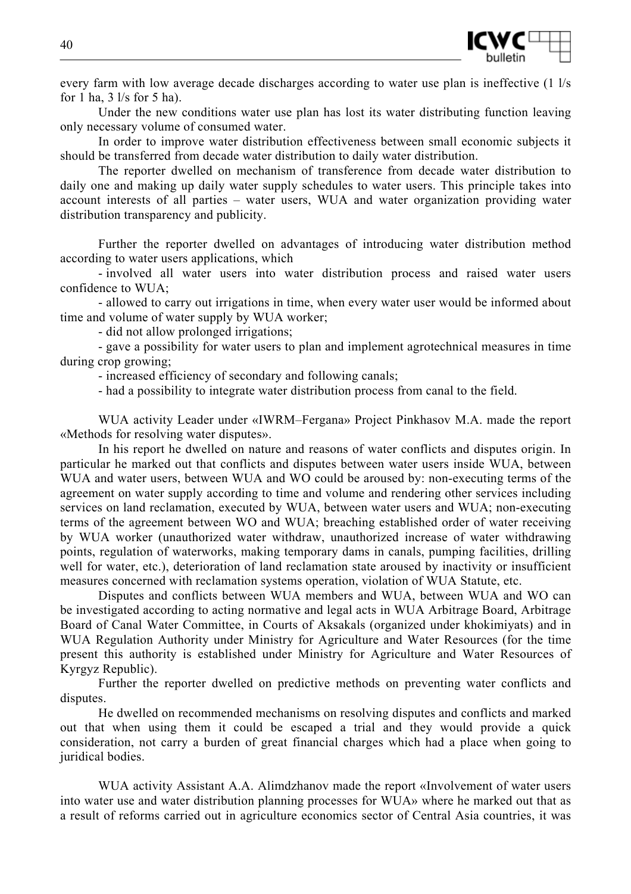

every farm with low average decade discharges according to water use plan is ineffective (1 l/s for 1 ha,  $3 \frac{1}{s}$  for 5 ha).

Under the new conditions water use plan has lost its water distributing function leaving only necessary volume of consumed water.

In order to improve water distribution effectiveness between small economic subjects it should be transferred from decade water distribution to daily water distribution.

The reporter dwelled on mechanism of transference from decade water distribution to daily one and making up daily water supply schedules to water users. This principle takes into account interests of all parties – water users, WUA and water organization providing water distribution transparency and publicity.

Further the reporter dwelled on advantages of introducing water distribution method according to water users applications, which

- involved all water users into water distribution process and raised water users confidence to WUA;

- allowed to carry out irrigations in time, when every water user would be informed about time and volume of water supply by WUA worker;

- did not allow prolonged irrigations;

- gave a possibility for water users to plan and implement agrotechnical measures in time during crop growing;

- increased efficiency of secondary and following canals;

- had a possibility to integrate water distribution process from canal to the field.

WUA activity Leader under «IWRM–Fergana» Project Pinkhasov M.A. made the report «Methods for resolving water disputes».

In his report he dwelled on nature and reasons of water conflicts and disputes origin. In particular he marked out that conflicts and disputes between water users inside WUA, between WUA and water users, between WUA and WO could be aroused by: non-executing terms of the agreement on water supply according to time and volume and rendering other services including services on land reclamation, executed by WUA, between water users and WUA; non-executing terms of the agreement between WO and WUA; breaching established order of water receiving by WUA worker (unauthorized water withdraw, unauthorized increase of water withdrawing points, regulation of waterworks, making temporary dams in canals, pumping facilities, drilling well for water, etc.), deterioration of land reclamation state aroused by inactivity or insufficient measures concerned with reclamation systems operation, violation of WUA Statute, etc.

Disputes and conflicts between WUA members and WUA, between WUA and WO can be investigated according to acting normative and legal acts in WUA Arbitrage Board, Arbitrage Board of Canal Water Committee, in Courts of Aksakals (organized under khokimiyats) and in WUA Regulation Authority under Ministry for Agriculture and Water Resources (for the time present this authority is established under Ministry for Agriculture and Water Resources of Kyrgyz Republic).

Further the reporter dwelled on predictive methods on preventing water conflicts and disputes.

He dwelled on recommended mechanisms on resolving disputes and conflicts and marked out that when using them it could be escaped a trial and they would provide a quick consideration, not carry a burden of great financial charges which had a place when going to juridical bodies.

WUA activity Assistant A.A. Alimdzhanov made the report «Involvement of water users into water use and water distribution planning processes for WUA» where he marked out that as a result of reforms carried out in agriculture economics sector of Central Asia countries, it was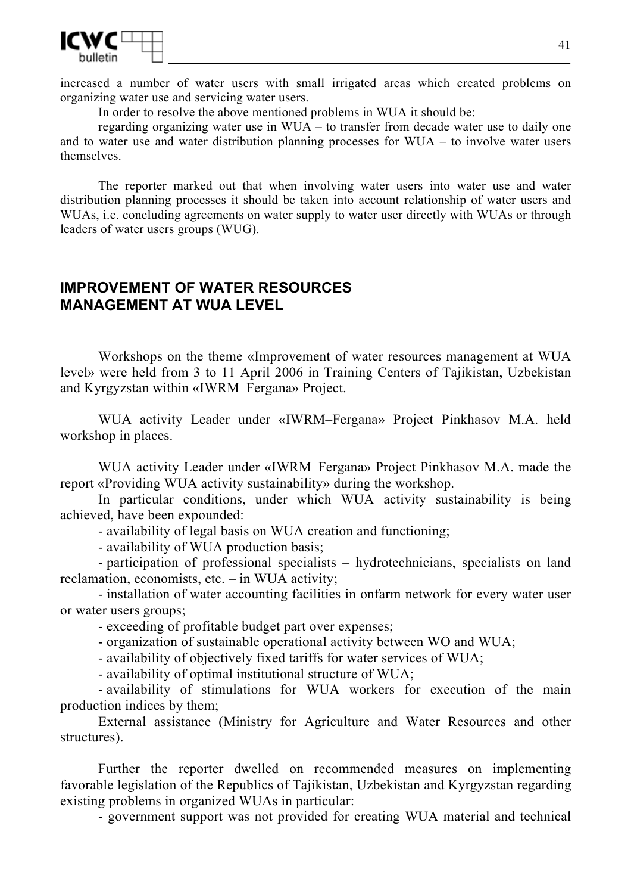

increased a number of water users with small irrigated areas which created problems on organizing water use and servicing water users.

In order to resolve the above mentioned problems in WUA it should be:

regarding organizing water use in WUA – to transfer from decade water use to daily one and to water use and water distribution planning processes for WUA – to involve water users themselves.

The reporter marked out that when involving water users into water use and water distribution planning processes it should be taken into account relationship of water users and WUAs, *i.e.* concluding agreements on water supply to water user directly with WUAs or through leaders of water users groups (WUG).

# **IMPROVEMENT OF WATER RESOURCES MANAGEMENT AT WUA LEVEL**

Workshops on the theme «Improvement of water resources management at WUA level» were held from 3 to 11 April 2006 in Training Centers of Tajikistan, Uzbekistan and Kyrgyzstan within «IWRM–Fergana» Project.

WUA activity Leader under «IWRM–Fergana» Project Pinkhasov M.A. held workshop in places.

WUA activity Leader under «IWRM–Fergana» Project Pinkhasov M.A. made the report «Providing WUA activity sustainability» during the workshop.

In particular conditions, under which WUA activity sustainability is being achieved, have been expounded:

- availability of legal basis on WUA creation and functioning;

- availability of WUA production basis;

- participation of professional specialists – hydrotechnicians, specialists on land reclamation, economists, etc. – in WUA activity;

- installation of water accounting facilities in onfarm network for every water user or water users groups;

- exceeding of profitable budget part over expenses;

- organization of sustainable operational activity between WO and WUA;

- availability of objectively fixed tariffs for water services of WUA;

- availability of optimal institutional structure of WUA;

- availability of stimulations for WUA workers for execution of the main production indices by them;

External assistance (Ministry for Agriculture and Water Resources and other structures).

Further the reporter dwelled on recommended measures on implementing favorable legislation of the Republics of Tajikistan, Uzbekistan and Kyrgyzstan regarding existing problems in organized WUAs in particular:

- government support was not provided for creating WUA material and technical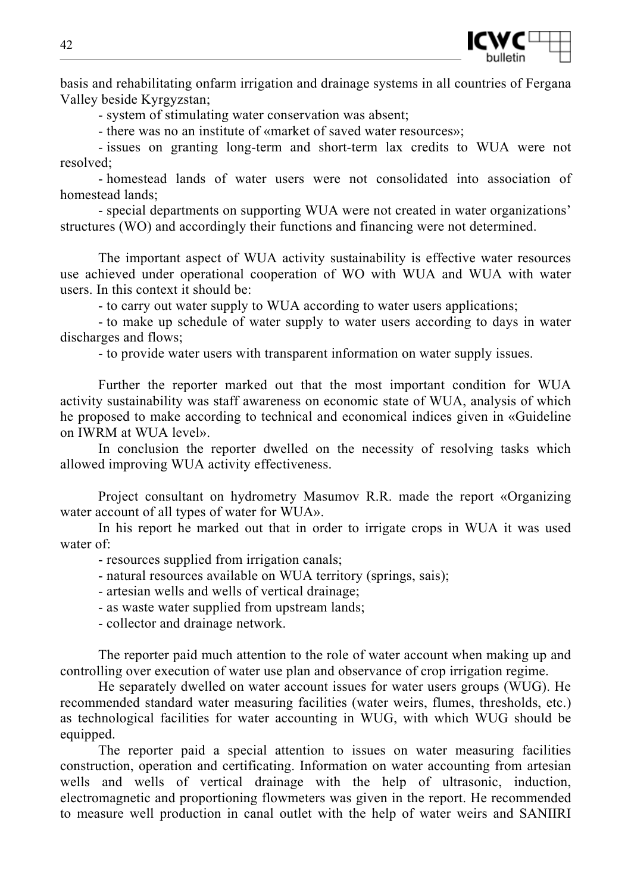

basis and rehabilitating onfarm irrigation and drainage systems in all countries of Fergana Valley beside Kyrgyzstan;

- system of stimulating water conservation was absent;

- there was no an institute of «market of saved water resources»;

- issues on granting long-term and short-term lax credits to WUA were not resolved;

- homestead lands of water users were not consolidated into association of homestead lands;

- special departments on supporting WUA were not created in water organizations' structures (WO) and accordingly their functions and financing were not determined.

The important aspect of WUA activity sustainability is effective water resources use achieved under operational cooperation of WO with WUA and WUA with water users. In this context it should be:

- to carry out water supply to WUA according to water users applications;

- to make up schedule of water supply to water users according to days in water discharges and flows;

- to provide water users with transparent information on water supply issues.

Further the reporter marked out that the most important condition for WUA activity sustainability was staff awareness on economic state of WUA, analysis of which he proposed to make according to technical and economical indices given in «Guideline on IWRM at WUA level».

In conclusion the reporter dwelled on the necessity of resolving tasks which allowed improving WUA activity effectiveness.

Project consultant on hydrometry Masumov R.R. made the report «Organizing water account of all types of water for WUA».

In his report he marked out that in order to irrigate crops in WUA it was used water of:

- resources supplied from irrigation canals;

- natural resources available on WUA territory (springs, sais);

- artesian wells and wells of vertical drainage;

- as waste water supplied from upstream lands;

- collector and drainage network.

The reporter paid much attention to the role of water account when making up and controlling over execution of water use plan and observance of crop irrigation regime.

He separately dwelled on water account issues for water users groups (WUG). He recommended standard water measuring facilities (water weirs, flumes, thresholds, etc.) as technological facilities for water accounting in WUG, with which WUG should be equipped.

The reporter paid a special attention to issues on water measuring facilities construction, operation and certificating. Information on water accounting from artesian wells and wells of vertical drainage with the help of ultrasonic, induction, electromagnetic and proportioning flowmeters was given in the report. He recommended to measure well production in canal outlet with the help of water weirs and SANIIRI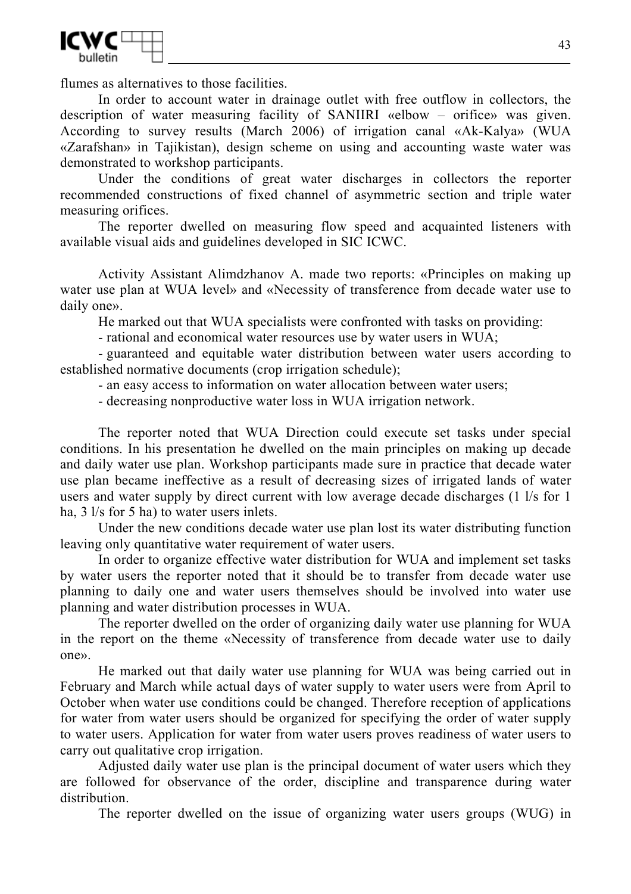

flumes as alternatives to those facilities.

In order to account water in drainage outlet with free outflow in collectors, the description of water measuring facility of SANIIRI «elbow – orifice» was given. According to survey results (March 2006) of irrigation canal «Ak-Kalya» (WUA «Zarafshan» in Tajikistan), design scheme on using and accounting waste water was demonstrated to workshop participants.

Under the conditions of great water discharges in collectors the reporter recommended constructions of fixed channel of asymmetric section and triple water measuring orifices.

The reporter dwelled on measuring flow speed and acquainted listeners with available visual aids and guidelines developed in SIC ICWC.

Activity Assistant Alimdzhanov A. made two reports: «Principles on making up water use plan at WUA level» and «Necessity of transference from decade water use to daily one».

He marked out that WUA specialists were confronted with tasks on providing:

- rational and economical water resources use by water users in WUA;

- guaranteed and equitable water distribution between water users according to established normative documents (crop irrigation schedule);

- an easy access to information on water allocation between water users;

- decreasing nonproductive water loss in WUA irrigation network.

The reporter noted that WUA Direction could execute set tasks under special conditions. In his presentation he dwelled on the main principles on making up decade and daily water use plan. Workshop participants made sure in practice that decade water use plan became ineffective as a result of decreasing sizes of irrigated lands of water users and water supply by direct current with low average decade discharges (1 l/s for 1 ha, 3 l/s for 5 ha) to water users inlets.

Under the new conditions decade water use plan lost its water distributing function leaving only quantitative water requirement of water users.

In order to organize effective water distribution for WUA and implement set tasks by water users the reporter noted that it should be to transfer from decade water use planning to daily one and water users themselves should be involved into water use planning and water distribution processes in WUA.

The reporter dwelled on the order of organizing daily water use planning for WUA in the report on the theme «Necessity of transference from decade water use to daily one».

He marked out that daily water use planning for WUA was being carried out in February and March while actual days of water supply to water users were from April to October when water use conditions could be changed. Therefore reception of applications for water from water users should be organized for specifying the order of water supply to water users. Application for water from water users proves readiness of water users to carry out qualitative crop irrigation.

Adjusted daily water use plan is the principal document of water users which they are followed for observance of the order, discipline and transparence during water distribution.

The reporter dwelled on the issue of organizing water users groups (WUG) in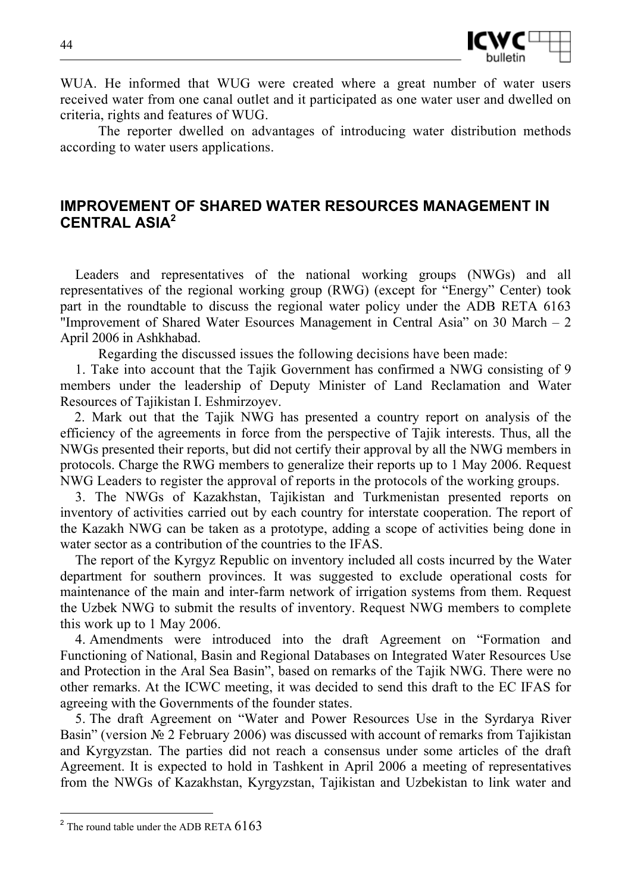

WUA. He informed that WUG were created where a great number of water users received water from one canal outlet and it participated as one water user and dwelled on criteria, rights and features of WUG.

The reporter dwelled on advantages of introducing water distribution methods according to water users applications.

# **IMPROVEMENT OF SHARED WATER RESOURCES MANAGEMENT IN CENTRAL ASIA<sup>2</sup>**

Leaders and representatives of the national working groups (NWGs) and all representatives of the regional working group (RWG) (except for "Energy" Center) took part in the roundtable to discuss the regional water policy under the ADB RETA 6163 "Improvement of Shared Water Esources Management in Central Asia" on 30 March – 2 April 2006 in Ashkhabad.

Regarding the discussed issues the following decisions have been made:

1. Take into account that the Tajik Government has confirmed a NWG consisting of 9 members under the leadership of Deputy Minister of Land Reclamation and Water Resources of Tajikistan I. Eshmirzoyev.

 2. Mark out that the Tajik NWG has presented a country report on analysis of the efficiency of the agreements in force from the perspective of Tajik interests. Thus, all the NWGs presented their reports, but did not certify their approval by all the NWG members in protocols. Charge the RWG members to generalize their reports up to 1 May 2006. Request NWG Leaders to register the approval of reports in the protocols of the working groups.

3. The NWGs of Kazakhstan, Tajikistan and Turkmenistan presented reports on inventory of activities carried out by each country for interstate cooperation. The report of the Kazakh NWG can be taken as a prototype, adding a scope of activities being done in water sector as a contribution of the countries to the IFAS.

The report of the Kyrgyz Republic on inventory included all costs incurred by the Water department for southern provinces. It was suggested to exclude operational costs for maintenance of the main and inter-farm network of irrigation systems from them. Request the Uzbek NWG to submit the results of inventory. Request NWG members to complete this work up to 1 May 2006.

4. Amendments were introduced into the draft Agreement on "Formation and Functioning of National, Basin and Regional Databases on Integrated Water Resources Use and Protection in the Aral Sea Basin", based on remarks of the Tajik NWG. There were no other remarks. At the ICWC meeting, it was decided to send this draft to the EC IFAS for agreeing with the Governments of the founder states.

5. The draft Agreement on "Water and Power Resources Use in the Syrdarya River Basin" (version № 2 February 2006) was discussed with account of remarks from Tajikistan and Kyrgyzstan. The parties did not reach a consensus under some articles of the draft Agreement. It is expected to hold in Tashkent in April 2006 a meeting of representatives from the NWGs of Kazakhstan, Kyrgyzstan, Tajikistan and Uzbekistan to link water and

l

 $2$  The round table under the ADB RETA  $6163$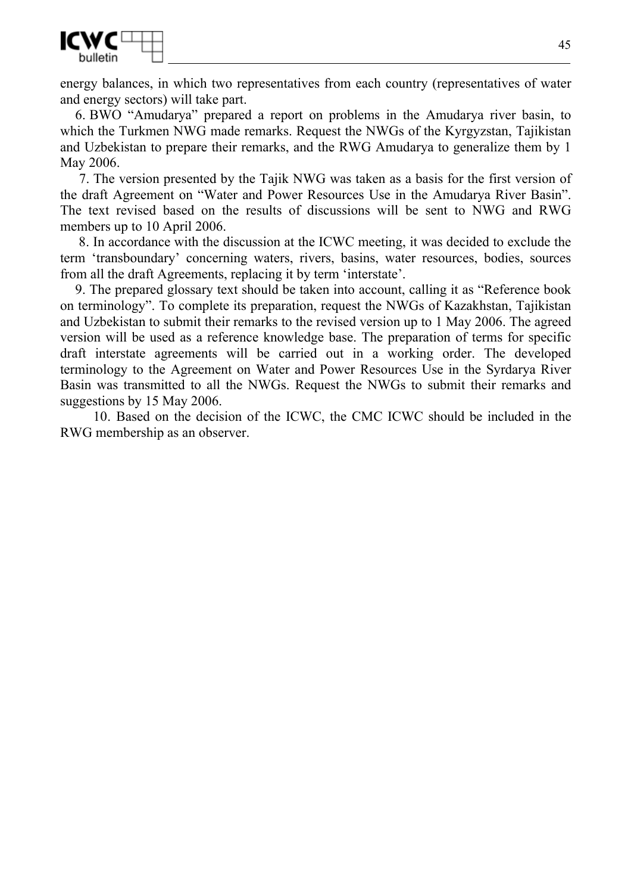

energy balances, in which two representatives from each country (representatives of water and energy sectors) will take part.

6. BWO "Amudarya" prepared a report on problems in the Amudarya river basin, to which the Turkmen NWG made remarks. Request the NWGs of the Kyrgyzstan, Tajikistan and Uzbekistan to prepare their remarks, and the RWG Amudarya to generalize them by 1 May 2006.

7. The version presented by the Tajik NWG was taken as a basis for the first version of the draft Agreement on "Water and Power Resources Use in the Amudarya River Basin". The text revised based on the results of discussions will be sent to NWG and RWG members up to 10 April 2006.

 8. In accordance with the discussion at the ICWC meeting, it was decided to exclude the term 'transboundary' concerning waters, rivers, basins, water resources, bodies, sources from all the draft Agreements, replacing it by term 'interstate'.

9. The prepared glossary text should be taken into account, calling it as "Reference book on terminology". To complete its preparation, request the NWGs of Kazakhstan, Tajikistan and Uzbekistan to submit their remarks to the revised version up to 1 May 2006. The agreed version will be used as a reference knowledge base. The preparation of terms for specific draft interstate agreements will be carried out in a working order. The developed terminology to the Agreement on Water and Power Resources Use in the Syrdarya River Basin was transmitted to all the NWGs. Request the NWGs to submit their remarks and suggestions by 15 May 2006.

 10. Based on the decision of the ICWC, the CMC ICWC should be included in the RWG membership as an observer.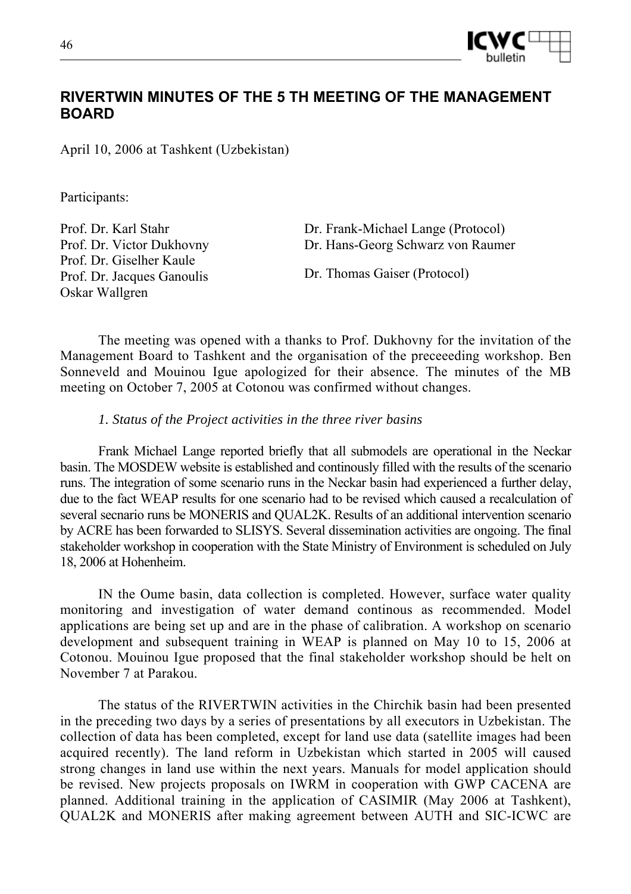

# **RIVERTWIN MINUTES OF THE 5 TH MEETING OF THE MANAGEMENT BOARD**

April 10, 2006 at Tashkent (Uzbekistan)

Participants:

Prof. Dr. Karl Stahr Prof. Dr. Victor Dukhovny Prof. Dr. Giselher Kaule Prof. Dr. Jacques Ganoulis Oskar Wallgren

Dr. Frank-Michael Lange (Protocol) Dr. Hans-Georg Schwarz von Raumer

Dr. Thomas Gaiser (Protocol)

The meeting was opened with a thanks to Prof. Dukhovny for the invitation of the Management Board to Tashkent and the organisation of the preceeeding workshop. Ben Sonneveld and Mouinou Igue apologized for their absence. The minutes of the MB meeting on October 7, 2005 at Cotonou was confirmed without changes.

*1. Status of the Project activities in the three river basins* 

Frank Michael Lange reported briefly that all submodels are operational in the Neckar basin. The MOSDEW website is established and continously filled with the results of the scenario runs. The integration of some scenario runs in the Neckar basin had experienced a further delay, due to the fact WEAP results for one scenario had to be revised which caused a recalculation of several secnario runs be MONERIS and QUAL2K. Results of an additional intervention scenario by ACRE has been forwarded to SLISYS. Several dissemination activities are ongoing. The final stakeholder workshop in cooperation with the State Ministry of Environment is scheduled on July 18, 2006 at Hohenheim.

IN the Oume basin, data collection is completed. However, surface water quality monitoring and investigation of water demand continous as recommended. Model applications are being set up and are in the phase of calibration. A workshop on scenario development and subsequent training in WEAP is planned on May 10 to 15, 2006 at Cotonou. Mouinou Igue proposed that the final stakeholder workshop should be helt on November 7 at Parakou.

The status of the RIVERTWIN activities in the Chirchik basin had been presented in the preceding two days by a series of presentations by all executors in Uzbekistan. The collection of data has been completed, except for land use data (satellite images had been acquired recently). The land reform in Uzbekistan which started in 2005 will caused strong changes in land use within the next years. Manuals for model application should be revised. New projects proposals on IWRM in cooperation with GWP CACENA are planned. Additional training in the application of CASIMIR (May 2006 at Tashkent), QUAL2K and MONERIS after making agreement between AUTH and SIC-ICWC are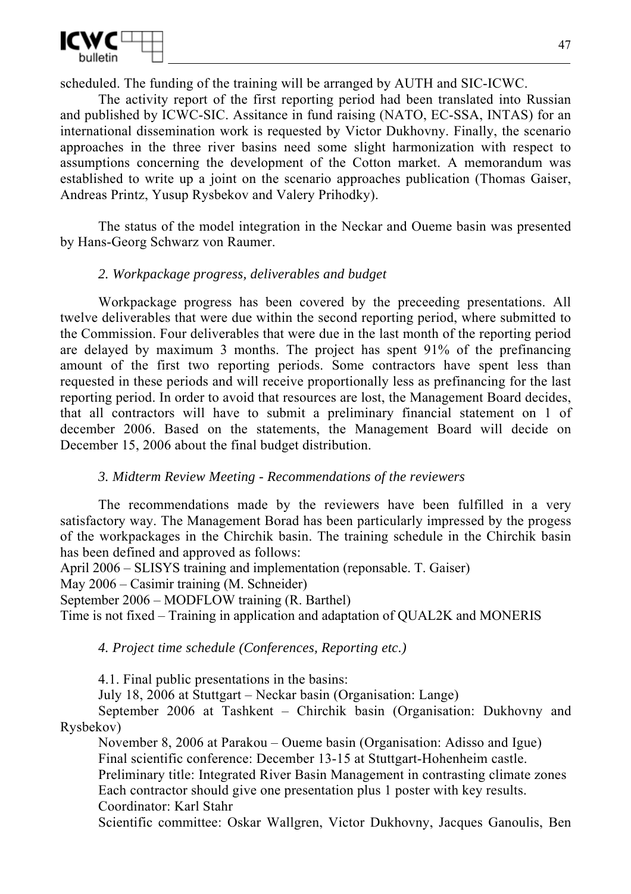

scheduled. The funding of the training will be arranged by AUTH and SIC-ICWC.

The activity report of the first reporting period had been translated into Russian and published by ICWC-SIC. Assitance in fund raising (NATO, EC-SSA, INTAS) for an international dissemination work is requested by Victor Dukhovny. Finally, the scenario approaches in the three river basins need some slight harmonization with respect to assumptions concerning the development of the Cotton market. A memorandum was established to write up a joint on the scenario approaches publication (Thomas Gaiser, Andreas Printz, Yusup Rysbekov and Valery Prihodky).

The status of the model integration in the Neckar and Oueme basin was presented by Hans-Georg Schwarz von Raumer.

## *2. Workpackage progress, deliverables and budget*

Workpackage progress has been covered by the preceeding presentations. All twelve deliverables that were due within the second reporting period, where submitted to the Commission. Four deliverables that were due in the last month of the reporting period are delayed by maximum 3 months. The project has spent 91% of the prefinancing amount of the first two reporting periods. Some contractors have spent less than requested in these periods and will receive proportionally less as prefinancing for the last reporting period. In order to avoid that resources are lost, the Management Board decides, that all contractors will have to submit a preliminary financial statement on 1 of december 2006. Based on the statements, the Management Board will decide on December 15, 2006 about the final budget distribution.

## *3. Midterm Review Meeting - Recommendations of the reviewers*

The recommendations made by the reviewers have been fulfilled in a very satisfactory way. The Management Borad has been particularly impressed by the progess of the workpackages in the Chirchik basin. The training schedule in the Chirchik basin has been defined and approved as follows:

April 2006 – SLISYS training and implementation (reponsable. T. Gaiser)

May 2006 – Casimir training (M. Schneider)

September 2006 – MODFLOW training (R. Barthel)

Time is not fixed – Training in application and adaptation of QUAL2K and MONERIS

*4. Project time schedule (Conferences, Reporting etc.)* 

4.1. Final public presentations in the basins:

July 18, 2006 at Stuttgart – Neckar basin (Organisation: Lange)

September 2006 at Tashkent – Chirchik basin (Organisation: Dukhovny and Rysbekov)

November 8, 2006 at Parakou – Oueme basin (Organisation: Adisso and Igue) Final scientific conference: December 13-15 at Stuttgart-Hohenheim castle. Preliminary title: Integrated River Basin Management in contrasting climate zones Each contractor should give one presentation plus 1 poster with key results. Coordinator: Karl Stahr

Scientific committee: Oskar Wallgren, Victor Dukhovny, Jacques Ganoulis, Ben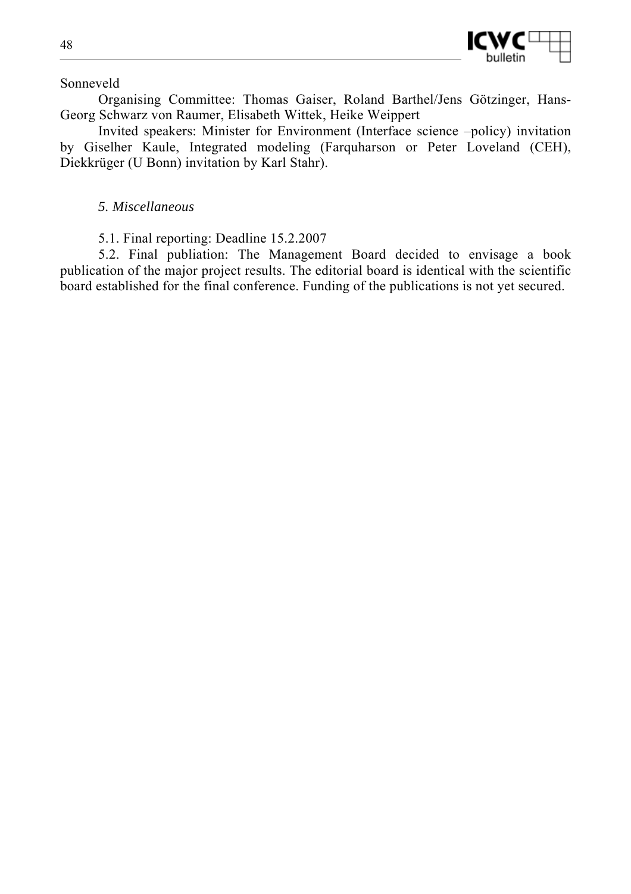

Sonneveld

Organising Committee: Thomas Gaiser, Roland Barthel/Jens Götzinger, Hans-Georg Schwarz von Raumer, Elisabeth Wittek, Heike Weippert

Invited speakers: Minister for Environment (Interface science –policy) invitation by Giselher Kaule, Integrated modeling (Farquharson or Peter Loveland (CEH), Diekkrüger (U Bonn) invitation by Karl Stahr).

## *5. Miscellaneous*

5.1. Final reporting: Deadline 15.2.2007

5.2. Final publiation: The Management Board decided to envisage a book publication of the major project results. The editorial board is identical with the scientific board established for the final conference. Funding of the publications is not yet secured.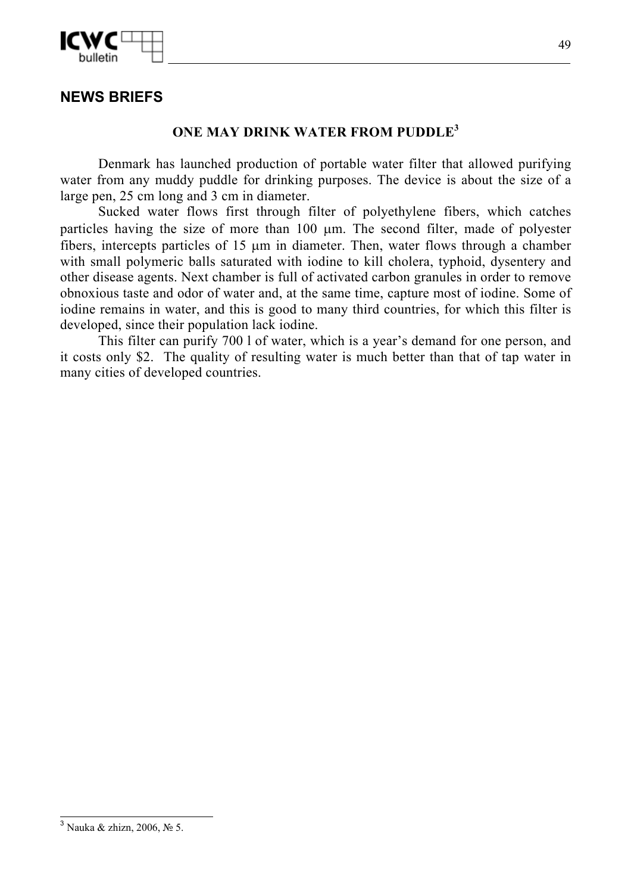

# **NEWS BRIEFS**

## **ONE MAY DRINK WATER FROM PUDDLE<sup>3</sup>**

Denmark has launched production of portable water filter that allowed purifying water from any muddy puddle for drinking purposes. The device is about the size of a large pen, 25 cm long and 3 cm in diameter.

Sucked water flows first through filter of polyethylene fibers, which catches particles having the size of more than 100 µm. The second filter, made of polyester fibers, intercepts particles of 15 µm in diameter. Then, water flows through a chamber with small polymeric balls saturated with iodine to kill cholera, typhoid, dysentery and other disease agents. Next chamber is full of activated carbon granules in order to remove obnoxious taste and odor of water and, at the same time, capture most of iodine. Some of iodine remains in water, and this is good to many third countries, for which this filter is developed, since their population lack iodine.

This filter can purify 700 l of water, which is a year's demand for one person, and it costs only \$2. The quality of resulting water is much better than that of tap water in many cities of developed countries.

l

 $3$  Nauka & zhizn, 2006, No 5.